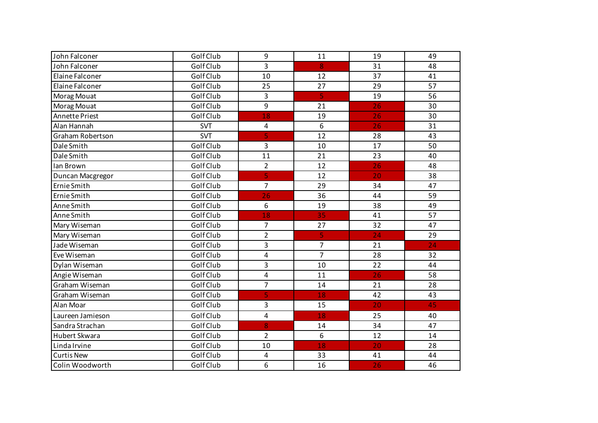| John Falconer           | Golf Club  | 9                       | 11                      | 19              | 49 |
|-------------------------|------------|-------------------------|-------------------------|-----------------|----|
| John Falconer           | Golf Club  | 3                       | 8                       | 31              | 48 |
| Elaine Falconer         | Golf Club  | 10                      | 12                      | 37              | 41 |
| Elaine Falconer         | Golf Club  | 25                      | 27                      | 29              | 57 |
| Morag Mouat             | Golf Club  | 3                       | $\overline{\mathbf{5}}$ | 19              | 56 |
| Morag Mouat             | Golf Club  | 9                       | 21                      | 26              | 30 |
| Annette Priest          | Golf Club  | 18                      | 19                      | 26              | 30 |
| Alan Hannah             | <b>SVT</b> | 4                       | 6                       | 26              | 31 |
| <b>Graham Robertson</b> | <b>SVT</b> | 5                       | 12                      | 28              | 43 |
| Dale Smith              | Golf Club  | 3                       | 10                      | 17              | 50 |
| Dale Smith              | Golf Club  | 11                      | 21                      | 23              | 40 |
| lan Brown               | Golf Club  | $\overline{2}$          | 12                      | 26              | 48 |
| Duncan Macgregor        | Golf Club  | 5                       | 12                      | 20              | 38 |
| Ernie Smith             | Golf Club  | 7                       | 29                      | 34              | 47 |
| Ernie Smith             | Golf Club  | 26                      | 36                      | 44              | 59 |
| Anne Smith              | Golf Club  | 6                       | 19                      | 38              | 49 |
| Anne Smith              | Golf Club  | 18                      | 35                      | 41              | 57 |
| Mary Wiseman            | Golf Club  | $\overline{7}$          | 27                      | 32              | 47 |
| Mary Wiseman            | Golf Club  | $\overline{c}$          | 5                       | 24              | 29 |
| Jade Wiseman            | Golf Club  | 3                       | $\overline{7}$          | 21              | 24 |
| Eve Wiseman             | Golf Club  | 4                       | $\overline{7}$          | 28              | 32 |
| Dylan Wiseman           | Golf Club  | 3                       | 10                      | 22              | 44 |
| Angie Wiseman           | Golf Club  | $\overline{\mathbf{4}}$ | 11                      | 26              | 58 |
| Graham Wiseman          | Golf Club  | 7                       | 14                      | 21              | 28 |
| Graham Wiseman          | Golf Club  | 5                       | 18                      | 42              | 43 |
| Alan Moar               | Golf Club  | 3                       | 15                      | 20              | 45 |
| Laureen Jamieson        | Golf Club  | $\overline{\mathbf{4}}$ | 18                      | 25              | 40 |
| Sandra Strachan         | Golf Club  | 8                       | 14                      | $\overline{34}$ | 47 |
| Hubert Skwara           | Golf Club  | $\overline{2}$          | 6                       | 12              | 14 |
| Linda Irvine            | Golf Club  | 10                      | 18                      | 20              | 28 |
| <b>Curtis New</b>       | Golf Club  | $\overline{\mathbf{4}}$ | 33                      | 41              | 44 |
| Colin Woodworth         | Golf Club  | 6                       | 16                      | 26              | 46 |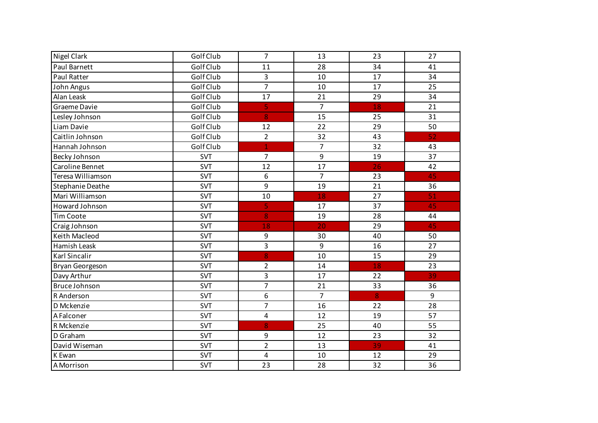| <b>Nigel Clark</b>   | Golf Club  | $\overline{7}$          | 13             | 23 | 27 |
|----------------------|------------|-------------------------|----------------|----|----|
| Paul Barnett         | Golf Club  | 11                      | 28             | 34 | 41 |
| <b>Paul Ratter</b>   | Golf Club  | 3                       | 10             | 17 | 34 |
| John Angus           | Golf Club  | $\overline{7}$          | 10             | 17 | 25 |
| Alan Leask           | Golf Club  | 17                      | 21             | 29 | 34 |
| Graeme Davie         | Golf Club  | 5                       | $\overline{7}$ | 18 | 21 |
| Lesley Johnson       | Golf Club  | 8                       | 15             | 25 | 31 |
| Liam Davie           | Golf Club  | 12                      | 22             | 29 | 50 |
| Caitlin Johnson      | Golf Club  | $\overline{2}$          | 32             | 43 | 52 |
| Hannah Johnson       | Golf Club  | $\overline{1}$          | $\overline{7}$ | 32 | 43 |
| Becky Johnson        | <b>SVT</b> | $\overline{7}$          | 9              | 19 | 37 |
| Caroline Bennet      | SVT        | 12                      | 17             | 26 | 42 |
| Teresa Williamson    | <b>SVT</b> | 6                       | $\overline{7}$ | 23 | 45 |
| Stephanie Deathe     | <b>SVT</b> | 9                       | 19             | 21 | 36 |
| Mari Williamson      | SVT        | 10                      | 18             | 27 | 51 |
| Howard Johnson       | SVT        | 5                       | 17             | 37 | 45 |
| <b>Tim Coote</b>     | <b>SVT</b> | 8                       | 19             | 28 | 44 |
| Craig Johnson        | <b>SVT</b> | 18                      | 20             | 29 | 45 |
| Keith Macleod        | SVT        | 9                       | 30             | 40 | 50 |
| Hamish Leask         | <b>SVT</b> | 3                       | 9              | 16 | 27 |
| <b>Karl Sincalir</b> | SVT        | 8                       | 10             | 15 | 29 |
| Bryan Georgeson      | SVT        | $\overline{2}$          | 14             | 18 | 23 |
| Davy Arthur          | SVT        | 3                       | 17             | 22 | 39 |
| Bruce Johnson        | SVT        | $\overline{7}$          | 21             | 33 | 36 |
| R Anderson           | SVT        | 6                       | $\overline{7}$ | 8  | 9  |
| D Mckenzie           | SVT        | 7                       | 16             | 22 | 28 |
| A Falconer           | <b>SVT</b> | $\overline{\mathbf{4}}$ | 12             | 19 | 57 |
| R Mckenzie           | <b>SVT</b> | 8                       | 25             | 40 | 55 |
| D Graham             | <b>SVT</b> | 9                       | 12             | 23 | 32 |
| David Wiseman        | <b>SVT</b> | $\overline{2}$          | 13             | 39 | 41 |
| K Ewan               | <b>SVT</b> | $\overline{\mathbf{4}}$ | 10             | 12 | 29 |
| A Morrison           | <b>SVT</b> | 23                      | 28             | 32 | 36 |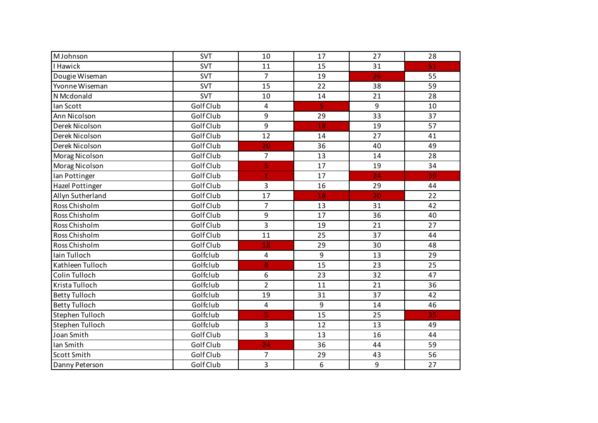| <b>MJohnson</b>        | <b>SVT</b> | 10                      | 17 | 27 | 28 |
|------------------------|------------|-------------------------|----|----|----|
| I Hawick               | <b>SVT</b> | 11                      | 15 | 31 | 51 |
| Dougie Wiseman         | <b>SVT</b> | $\overline{7}$          | 19 | 26 | 55 |
| Yvonne Wiseman         | <b>SVT</b> | 15                      | 22 | 38 | 59 |
| N Mcdonald             | <b>SVT</b> | 10                      | 14 | 21 | 28 |
| Ian Scott              | Golf Club  | $\overline{4}$          | 5  | 9  | 10 |
| Ann Nicolson           | Golf Club  | 9                       | 29 | 33 | 37 |
| Derek Nicolson         | Golf Club  | 9                       | 18 | 19 | 57 |
| Derek Nicolson         | Golf Club  | 12                      | 14 | 27 | 41 |
| Derek Nicolson         | Golf Club  | 20                      | 36 | 40 | 49 |
| Morag Nicolson         | Golf Club  | $\overline{7}$          | 13 | 14 | 28 |
| Morag Nicolson         | Golf Club  | 5                       | 17 | 19 | 34 |
| Ian Pottinger          | Golf Club  | 1                       | 17 | 24 | 39 |
| <b>Hazel Pottinger</b> | Golf Club  | 3                       | 16 | 29 | 44 |
| Allyn Sutherland       | Golf Club  | 17                      | 18 | 20 | 22 |
| Ross Chisholm          | Golf Club  | $\overline{7}$          | 13 | 31 | 42 |
| Ross Chisholm          | Golf Club  | 9                       | 17 | 36 | 40 |
| Ross Chisholm          | Golf Club  | 3                       | 19 | 21 | 27 |
| Ross Chisholm          | Golf Club  | 11                      | 25 | 37 | 44 |
| Ross Chisholm          | Golf Club  | 18                      | 29 | 30 | 48 |
| Iain Tulloch           | Golfclub   | $\overline{\mathbf{4}}$ | 9  | 13 | 29 |
| Kathleen Tulloch       | Golfclub   | 8                       | 15 | 23 | 25 |
| Colin Tulloch          | Golfclub   | 6                       | 23 | 32 | 47 |
| Krista Tulloch         | Golfclub   | $\overline{2}$          | 11 | 21 | 36 |
| <b>Betty Tulloch</b>   | Golfclub   | 19                      | 31 | 37 | 42 |
| <b>Betty Tulloch</b>   | Golfclub   | $\overline{\mathbf{4}}$ | 9  | 14 | 46 |
| Stephen Tulloch        | Golfclub   | $\overline{5}$          | 15 | 25 | 35 |
| Stephen Tulloch        | Golfclub   | 3                       | 12 | 13 | 49 |
| Joan Smith             | Golf Club  | 3                       | 13 | 16 | 44 |
| Ian Smith              | Golf Club  | 24                      | 36 | 44 | 59 |
| <b>Scott Smith</b>     | Golf Club  | $\overline{7}$          | 29 | 43 | 56 |
| Danny Peterson         | Golf Club  | 3                       | 6  | 9  | 27 |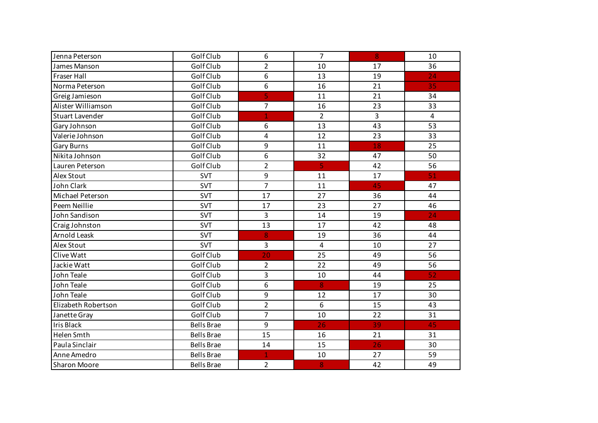| Jenna Peterson         | Golf Club         | 6              | $\overline{7}$          | 8               | 10 |
|------------------------|-------------------|----------------|-------------------------|-----------------|----|
| James Manson           | Golf Club         | $\overline{2}$ | 10                      | 17              | 36 |
| Fraser Hall            | Golf Club         | 6              | 13                      | 19              | 24 |
| Norma Peterson         | Golf Club         | 6              | 16                      | 21              | 35 |
| Greig Jamieson         | Golf Club         | 5              | 11                      | 21              | 34 |
| Alister Williamson     | Golf Club         | $\overline{7}$ | 16                      | 23              | 33 |
| <b>Stuart Lavender</b> | Golf Club         |                | $\overline{2}$          | 3               | 4  |
| Gary Johnson           | Golf Club         | 6              | 13                      | 43              | 53 |
| Valerie Johnson        | Golf Club         | 4              | 12                      | 23              | 33 |
| <b>Gary Burns</b>      | Golf Club         | 9              | 11                      | 18              | 25 |
| Nikita Johnson         | Golf Club         | 6              | 32                      | 47              | 50 |
| Lauren Peterson        | Golf Club         | $\overline{2}$ | $\overline{\mathbf{5}}$ | 42              | 56 |
| Alex Stout             | <b>SVT</b>        | 9              | 11                      | 17              | 51 |
| John Clark             | <b>SVT</b>        | $\overline{7}$ | 11                      | 45              | 47 |
| Michael Peterson       | <b>SVT</b>        | 17             | 27                      | 36              | 44 |
| Peem Neillie           | <b>SVT</b>        | 17             | 23                      | 27              | 46 |
| John Sandison          | <b>SVT</b>        | 3              | 14                      | 19              | 24 |
| Craig Johnston         | <b>SVT</b>        | 13             | 17                      | 42              | 48 |
| Arnold Leask           | <b>SVT</b>        | 8              | 19                      | 36              | 44 |
| Alex Stout             | <b>SVT</b>        | 3              | $\overline{4}$          | 10              | 27 |
| Clive Watt             | Golf Club         | 20             | 25                      | 49              | 56 |
| Jackie Watt            | Golf Club         | $\overline{2}$ | 22                      | 49              | 56 |
| John Teale             | Golf Club         | 3              | 10                      | 44              | 52 |
| John Teale             | Golf Club         | 6              | 8                       | 19              | 25 |
| John Teale             | Golf Club         | 9              | 12                      | 17              | 30 |
| Elizabeth Robertson    | Golf Club         | $\overline{2}$ | 6                       | 15              | 43 |
| Janette Gray           | Golf Club         | $\overline{7}$ | 10                      | 22              | 31 |
| <b>Iris Black</b>      | <b>Bells Brae</b> | 9              | 26                      | 39              | 45 |
| Helen Smth             | <b>Bells Brae</b> | 15             | 16                      | 21              | 31 |
| Paula Sinclair         | <b>Bells Brae</b> | 14             | 15                      | $\overline{26}$ | 30 |
| Anne Amedro            | <b>Bells Brae</b> | $\mathbf{1}$   | 10                      | 27              | 59 |
| <b>Sharon Moore</b>    | <b>Bells Brae</b> | $\overline{2}$ | 8                       | 42              | 49 |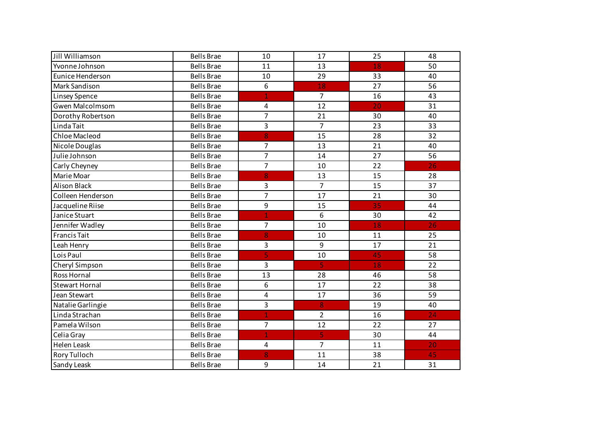| Jill Williamson        | <b>Bells Brae</b> | 10                      | 17             | 25 | 48              |
|------------------------|-------------------|-------------------------|----------------|----|-----------------|
| Yvonne Johnson         | <b>Bells Brae</b> | 11                      | 13             | 18 | 50              |
| Eunice Henderson       | <b>Bells Brae</b> | 10                      | 29             | 33 | 40              |
| Mark Sandison          | <b>Bells Brae</b> | 6                       | 18             | 27 | 56              |
| Linsey Spence          | <b>Bells Brae</b> | $\overline{1}$          | $\overline{7}$ | 16 | 43              |
| <b>Gwen Malcolmsom</b> | <b>Bells Brae</b> | 4                       | 12             | 20 | 31              |
| Dorothy Robertson      | <b>Bells Brae</b> | 7                       | 21             | 30 | 40              |
| Linda Tait             | <b>Bells Brae</b> | 3                       | $\overline{7}$ | 23 | 33              |
| Chloe Macleod          | <b>Bells Brae</b> | $\overline{8}$          | 15             | 28 | 32              |
| Nicole Douglas         | <b>Bells Brae</b> | 7                       | 13             | 21 | 40              |
| Julie Johnson          | <b>Bells Brae</b> | $\overline{7}$          | 14             | 27 | 56              |
| Carly Cheyney          | <b>Bells Brae</b> | $\overline{7}$          | 10             | 22 | 26              |
| Marie Moar             | <b>Bells Brae</b> | 8                       | 13             | 15 | 28              |
| <b>Alison Black</b>    | <b>Bells Brae</b> | 3                       | $\overline{7}$ | 15 | 37              |
| Colleen Henderson      | <b>Bells Brae</b> | $\overline{7}$          | 17             | 21 | 30              |
| Jacqueline Riise       | <b>Bells Brae</b> | 9                       | 15             | 35 | 44              |
| Janice Stuart          | <b>Bells Brae</b> | $\overline{1}$          | 6              | 30 | 42              |
| Jennifer Wadley        | <b>Bells Brae</b> | $\overline{7}$          | 10             | 18 | 26              |
| <b>Francis Tait</b>    | <b>Bells Brae</b> | 8                       | 10             | 11 | 25              |
| Leah Henry             | <b>Bells Brae</b> | 3                       | 9              | 17 | 21              |
| Lois Paul              | <b>Bells Brae</b> | $\overline{\mathsf{S}}$ | 10             | 45 | 58              |
| Cheryl Simpson         | <b>Bells Brae</b> | 3                       | 5              | 18 | 22              |
| <b>Ross Hornal</b>     | <b>Bells Brae</b> | 13                      | 28             | 46 | 58              |
| <b>Stewart Hornal</b>  | <b>Bells Brae</b> | 6                       | 17             | 22 | 38              |
| Jean Stewart           | <b>Bells Brae</b> | 4                       | 17             | 36 | 59              |
| Natalie Garlingie      | <b>Bells Brae</b> | 3                       | 8              | 19 | 40              |
| Linda Strachan         | <b>Bells Brae</b> | $\mathbf{1}$            | $\overline{2}$ | 16 | $\overline{24}$ |
| Pamela Wilson          | <b>Bells Brae</b> | $\overline{7}$          | 12             | 22 | 27              |
| Celia Gray             | <b>Bells Brae</b> | $\overline{1}$          | 5              | 30 | 44              |
| <b>Helen Leask</b>     | <b>Bells Brae</b> | 4                       | $\overline{7}$ | 11 | 20              |
| Rory Tulloch           | <b>Bells Brae</b> | 8                       | 11             | 38 | 45              |
| Sandy Leask            | <b>Bells Brae</b> | 9                       | 14             | 21 | 31              |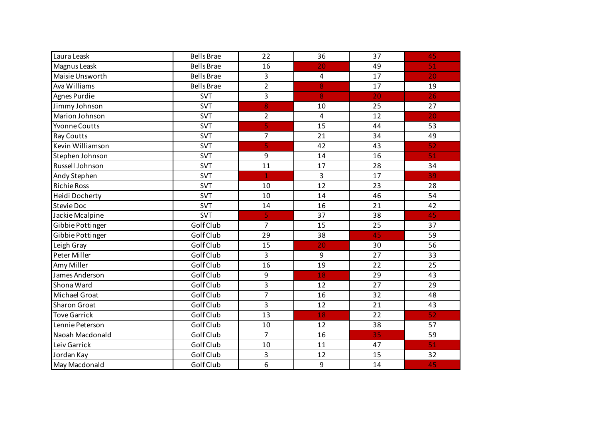| Laura Leask          | <b>Bells Brae</b> | 22             | 36                      | 37 | 45 |
|----------------------|-------------------|----------------|-------------------------|----|----|
| Magnus Leask         | <b>Bells Brae</b> | 16             | 20                      | 49 | 51 |
| Maisie Unsworth      | <b>Bells Brae</b> | 3              | $\overline{\mathbf{4}}$ | 17 | 20 |
| Ava Williams         | <b>Bells Brae</b> | $\overline{2}$ | 8                       | 17 | 19 |
| Agnes Purdie         | <b>SVT</b>        | 3              | 8                       | 20 | 26 |
| Jimmy Johnson        | <b>SVT</b>        | 8              | 10                      | 25 | 27 |
| Marion Johnson       | <b>SVT</b>        | $\overline{2}$ | 4                       | 12 | 20 |
| <b>Yvonne Coutts</b> | <b>SVT</b>        | 5              | 15                      | 44 | 53 |
| <b>Ray Coutts</b>    | <b>SVT</b>        | $\overline{7}$ | 21                      | 34 | 49 |
| Kevin Williamson     | <b>SVT</b>        | 5              | 42                      | 43 | 52 |
| Stephen Johnson      | <b>SVT</b>        | 9              | 14                      | 16 | 51 |
| Russell Johnson      | <b>SVT</b>        | 11             | 17                      | 28 | 34 |
| Andy Stephen         | <b>SVT</b>        | $\mathbf{1}$   | $\mathsf{3}$            | 17 | 39 |
| <b>Richie Ross</b>   | <b>SVT</b>        | 10             | 12                      | 23 | 28 |
| Heidi Docherty       | <b>SVT</b>        | 10             | 14                      | 46 | 54 |
| <b>Stevie Doc</b>    | <b>SVT</b>        | 14             | 16                      | 21 | 42 |
| Jackie Mcalpine      | <b>SVT</b>        | 5              | 37                      | 38 | 45 |
| Gibbie Pottinger     | Golf Club         | $\overline{7}$ | 15                      | 25 | 37 |
| Gibbie Pottinger     | Golf Club         | 29             | 38                      | 45 | 59 |
| Leigh Gray           | Golf Club         | 15             | 20                      | 30 | 56 |
| Peter Miller         | Golf Club         | 3              | 9                       | 27 | 33 |
| Amy Miller           | Golf Club         | 16             | 19                      | 22 | 25 |
| James Anderson       | Golf Club         | 9              | 18                      | 29 | 43 |
| Shona Ward           | Golf Club         | 3              | 12                      | 27 | 29 |
| Michael Groat        | Golf Club         | 7              | 16                      | 32 | 48 |
| <b>Sharon Groat</b>  | Golf Club         | 3              | 12                      | 21 | 43 |
| <b>Tove Garrick</b>  | Golf Club         | 13             | 18                      | 22 | 52 |
| Lennie Peterson      | Golf Club         | 10             | 12                      | 38 | 57 |
| Naoah Macdonald      | Golf Club         | $\overline{7}$ | 16                      | 35 | 59 |
| Leiv Garrick         | Golf Club         | 10             | 11                      | 47 | 51 |
| Jordan Kay           | Golf Club         | 3              | 12                      | 15 | 32 |
| May Macdonald        | Golf Club         | 6              | 9                       | 14 | 45 |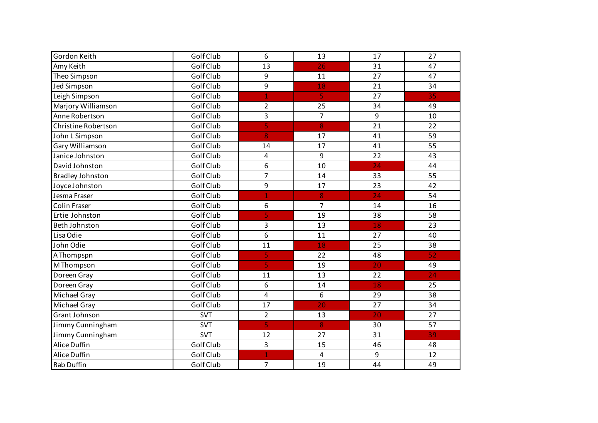| Gordon Keith            | Golf Club  | 6                       | 13                      | 17              | 27 |
|-------------------------|------------|-------------------------|-------------------------|-----------------|----|
| Amy Keith               | Golf Club  | 13                      | 26                      | 31              | 47 |
| Theo Simpson            | Golf Club  | 9                       | 11                      | 27              | 47 |
| <b>Jed Simpson</b>      | Golf Club  | 9                       | 18                      | 21              | 34 |
| Leigh Simpson           | Golf Club  | $\mathbf{1}$            | $\overline{\mathbf{5}}$ | 27              | 35 |
| Marjory Williamson      | Golf Club  | $\overline{2}$          | 25                      | 34              | 49 |
| Anne Robertson          | Golf Club  | 3                       | $\overline{7}$          | 9               | 10 |
| Christine Robertson     | Golf Club  | 5                       | 8                       | 21              | 22 |
| John L Simpson          | Golf Club  | 8                       | 17                      | 41              | 59 |
| Gary Williamson         | Golf Club  | 14                      | 17                      | 41              | 55 |
| Janice Johnston         | Golf Club  | $\overline{\mathbf{4}}$ | 9                       | 22              | 43 |
| David Johnston          | Golf Club  | 6                       | 10                      | 24              | 44 |
| <b>Bradley Johnston</b> | Golf Club  | $\overline{7}$          | 14                      | 33              | 55 |
| Joyce Johnston          | Golf Club  | 9                       | 17                      | 23              | 42 |
| Jesma Fraser            | Golf Club  | $\mathbf{1}$            | 8                       | $\overline{24}$ | 54 |
| <b>Colin Fraser</b>     | Golf Club  | 6                       | $\overline{7}$          | 14              | 16 |
| Ertie Johnston          | Golf Club  | 5                       | 19                      | 38              | 58 |
| Beth Johnston           | Golf Club  | 3                       | 13                      | 18              | 23 |
| Lisa Odie               | Golf Club  | 6                       | 11                      | 27              | 40 |
| John Odie               | Golf Club  | 11                      | 18                      | 25              | 38 |
| A Thompspn              | Golf Club  | 5                       | 22                      | 48              | 52 |
| M Thompson              | Golf Club  | 5                       | 19                      | 20              | 49 |
| Doreen Gray             | Golf Club  | 11                      | 13                      | 22              | 24 |
| Doreen Gray             | Golf Club  | 6                       | 14                      | 18              | 25 |
| Michael Gray            | Golf Club  | $\overline{4}$          | 6                       | 29              | 38 |
| Michael Gray            | Golf Club  | 17                      | 20                      | $\overline{27}$ | 34 |
| Grant Johnson           | <b>SVT</b> | $\overline{2}$          | 13                      | 20              | 27 |
| Jimmy Cunningham        | <b>SVT</b> | 5                       | 8                       | 30              | 57 |
| Jimmy Cunningham        | <b>SVT</b> | 12                      | 27                      | 31              | 39 |
| Alice Duffin            | Golf Club  | 3                       | 15                      | 46              | 48 |
| Alice Duffin            | Golf Club  | 1                       | $\overline{4}$          | 9               | 12 |
| Rab Duffin              | Golf Club  | $\overline{7}$          | 19                      | 44              | 49 |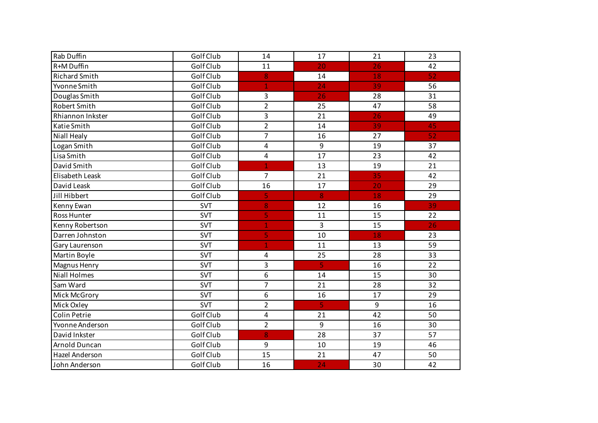| Rab Duffin           | Golf Club  | 14                      | 17               | 21               | 23              |
|----------------------|------------|-------------------------|------------------|------------------|-----------------|
| R+M Duffin           | Golf Club  | 11                      | 20               | 26               | 42              |
| <b>Richard Smith</b> | Golf Club  | 8                       | 14               | <u>18</u>        | 52              |
| Yvonne Smith         | Golf Club  | $\mathbf{1}$            | 24               | 39               | 56              |
| Douglas Smith        | Golf Club  | $\overline{3}$          | 26               | 28               | 31              |
| Robert Smith         | Golf Club  | $\overline{2}$          | 25               | 47               | 58              |
| Rhiannon Inkster     | Golf Club  | $\overline{3}$          | 21               | 26               | 49              |
| Katie Smith          | Golf Club  | $\overline{2}$          | 14               | 39               | 45              |
| Niall Healy          | Golf Club  | $\overline{7}$          | 16               | 27               | 52              |
| Logan Smith          | Golf Club  | $\overline{\mathbf{4}}$ | $\boldsymbol{9}$ | 19               | 37              |
| Lisa Smith           | Golf Club  | $\overline{4}$          | 17               | 23               | 42              |
| David Smith          | Golf Club  | $\mathbf{1}$            | 13               | 19               | 21              |
| Elisabeth Leask      | Golf Club  | $\overline{7}$          | 21               | 35               | 42              |
| David Leask          | Golf Club  | 16                      | 17               | 20               | 29              |
| Jill Hibbert         | Golf Club  | 5                       | 8                | 18               | 29              |
| Kenny Ewan           | <b>SVT</b> | 8                       | 12               | 16               | 39              |
| Ross Hunter          | <b>SVT</b> | 5                       | 11               | 15               | 22              |
| Kenny Robertson      | <b>SVT</b> | $\mathbf{1}$            | 3                | 15               | $\overline{26}$ |
| Darren Johnston      | SVT        | 5                       | 10               | 18               | 23              |
| Gary Laurenson       | <b>SVT</b> | 1                       | 11               | 13               | 59              |
| Martin Boyle         | <b>SVT</b> | $\overline{a}$          | 25               | 28               | 33              |
| Magnus Henry         | <b>SVT</b> | $\overline{3}$          | 5                | 16               | 22              |
| <b>Niall Holmes</b>  | <b>SVT</b> | 6                       | 14               | 15               | 30              |
| Sam Ward             | <b>SVT</b> | $\overline{7}$          | 21               | 28               | 32              |
| Mick McGrory         | <b>SVT</b> | 6                       | 16               | 17               | 29              |
| Mick Oxley           | <b>SVT</b> | $\overline{2}$          | 5                | $\boldsymbol{9}$ | 16              |
| Colin Petrie         | Golf Club  | $\overline{\mathbf{4}}$ | 21               | 42               | 50              |
| Yvonne Anderson      | Golf Club  | $\overline{2}$          | $\boldsymbol{9}$ | 16               | 30              |
| David Inkster        | Golf Club  | 8                       | 28               | 37               | 57              |
| Arnold Duncan        | Golf Club  | 9                       | 10               | 19               | 46              |
| Hazel Anderson       | Golf Club  | 15                      | 21               | 47               | 50              |
| John Anderson        | Golf Club  | 16                      | 24               | 30               | 42              |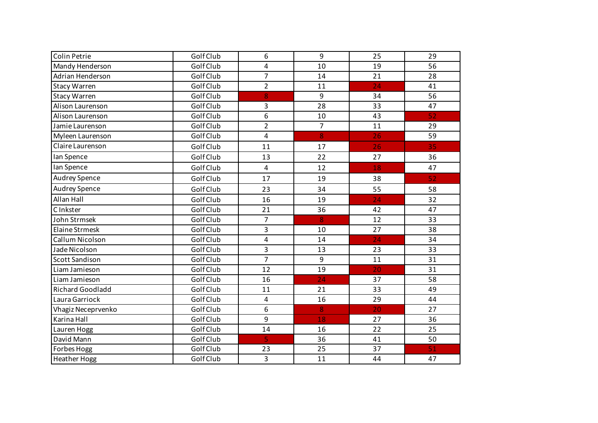| Colin Petrie            | Golf Club | 6                       | 9              | 25 | 29 |
|-------------------------|-----------|-------------------------|----------------|----|----|
| Mandy Henderson         | Golf Club | 4                       | 10             | 19 | 56 |
| Adrian Henderson        | Golf Club | $\overline{7}$          | 14             | 21 | 28 |
| <b>Stacy Warren</b>     | Golf Club | $\overline{2}$          | 11             | 24 | 41 |
| <b>Stacy Warren</b>     | Golf Club | 8                       | 9              | 34 | 56 |
| Alison Laurenson        | Golf Club | 3                       | 28             | 33 | 47 |
| Alison Laurenson        | Golf Club | 6                       | 10             | 43 | 52 |
| Jamie Laurenson         | Golf Club | $\overline{2}$          | $\overline{7}$ | 11 | 29 |
| Myleen Laurenson        | Golf Club | 4                       | 8              | 26 | 59 |
| Claire Laurenson        | Golf Club | 11                      | 17             | 26 | 35 |
| Ian Spence              | Golf Club | 13                      | 22             | 27 | 36 |
| Ian Spence              | Golf Club | $\overline{\mathbf{4}}$ | 12             | 18 | 47 |
| Audrey Spence           | Golf Club | 17                      | 19             | 38 | 52 |
| <b>Audrey Spence</b>    | Golf Club | 23                      | 34             | 55 | 58 |
| Allan Hall              | Golf Club | 16                      | 19             | 24 | 32 |
| C Inkster               | Golf Club | 21                      | 36             | 42 | 47 |
| John Strmsek            | Golf Club | $\overline{7}$          | 8              | 12 | 33 |
| Elaine Strmesk          | Golf Club | 3                       | 10             | 27 | 38 |
| Callum Nicolson         | Golf Club | 4                       | 14             | 24 | 34 |
| Jade Nicolson           | Golf Club | 3                       | 13             | 23 | 33 |
| <b>Scott Sandison</b>   | Golf Club | $\overline{7}$          | 9              | 11 | 31 |
| Liam Jamieson           | Golf Club | 12                      | 19             | 20 | 31 |
| Liam Jamieson           | Golf Club | 16                      | 24             | 37 | 58 |
| <b>Richard Goodladd</b> | Golf Club | 11                      | 21             | 33 | 49 |
| Laura Garriock          | Golf Club | $\overline{\mathbf{4}}$ | 16             | 29 | 44 |
| Vhagiz Neceprvenko      | Golf Club | 6                       | 8              | 20 | 27 |
| Karina Hall             | Golf Club | 9                       | 18             | 27 | 36 |
| Lauren Hogg             | Golf Club | 14                      | 16             | 22 | 25 |
| David Mann              | Golf Club | $\overline{\mathbf{5}}$ | 36             | 41 | 50 |
| Forbes Hogg             | Golf Club | 23                      | 25             | 37 | 51 |
| <b>Heather Hogg</b>     | Golf Club | 3                       | 11             | 44 | 47 |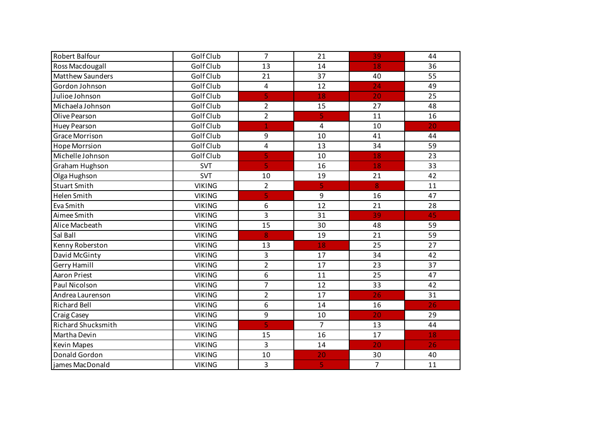| Robert Balfour            | Golf Club     | $\overline{7}$          | 21             | 39             | 44 |
|---------------------------|---------------|-------------------------|----------------|----------------|----|
| Ross Macdougall           | Golf Club     | 13                      | 14             | 18             | 36 |
| <b>Matthew Saunders</b>   | Golf Club     | 21                      | 37             | 40             | 55 |
| Gordon Johnson            | Golf Club     | $\pmb{4}$               | 12             | 24             | 49 |
| Julioe Johnson            | Golf Club     | 5                       | 18             | 20             | 25 |
| Michaela Johnson          | Golf Club     | $\overline{2}$          | 15             | 27             | 48 |
| Olive Pearson             | Golf Club     | $\overline{2}$          | 5              | 11             | 16 |
| <b>Huey Pearson</b>       | Golf Club     | 1                       | $\overline{4}$ | 10             | 20 |
| <b>Grace Morrison</b>     | Golf Club     | 9                       | 10             | 41             | 44 |
| <b>Hope Morrsion</b>      | Golf Club     | $\overline{4}$          | 13             | 34             | 59 |
| Michelle Johnson          | Golf Club     | 5                       | 10             | 18             | 23 |
| Graham Hughson            | <b>SVT</b>    | $\overline{\mathbf{5}}$ | 16             | 18             | 33 |
| Olga Hughson              | <b>SVT</b>    | 10                      | 19             | 21             | 42 |
| <b>Stuart Smith</b>       | <b>VIKING</b> | $\overline{2}$          | 5              | 8              | 11 |
| Helen Smith               | <b>VIKING</b> | 5                       | 9              | 16             | 47 |
| Eva Smith                 | <b>VIKING</b> | 6                       | 12             | 21             | 28 |
| Aimee Smith               | <b>VIKING</b> | 3                       | 31             | 39             | 45 |
| Alice Macbeath            | <b>VIKING</b> | 15                      | 30             | 48             | 59 |
| Sal Ball                  | <b>VIKING</b> | 8                       | 19             | 21             | 59 |
| Kenny Roberston           | <b>VIKING</b> | 13                      | 18             | 25             | 27 |
| David McGinty             | <b>VIKING</b> | 3                       | 17             | 34             | 42 |
| <b>Gerry Hamill</b>       | <b>VIKING</b> | $\overline{2}$          | 17             | 23             | 37 |
| <b>Aaron Priest</b>       | <b>VIKING</b> | 6                       | 11             | 25             | 47 |
| Paul Nicolson             | <b>VIKING</b> | $\overline{7}$          | 12             | 33             | 42 |
| Andrea Laurenson          | <b>VIKING</b> | $\overline{2}$          | 17             | 26             | 31 |
| <b>Richard Bell</b>       | <b>VIKING</b> | 6                       | 14             | 16             | 26 |
| <b>Craig Casey</b>        | <b>VIKING</b> | 9                       | 10             | 20             | 29 |
| <b>Richard Shucksmith</b> | <b>VIKING</b> | 5                       | $\overline{7}$ | 13             | 44 |
| Martha Devin              | <b>VIKING</b> | 15                      | 16             | 17             | 18 |
| <b>Kevin Mapes</b>        | <b>VIKING</b> | 3                       | 14             | 20             | 26 |
| Donald Gordon             | <b>VIKING</b> | 10                      | 20             | 30             | 40 |
| james MacDonald           | <b>VIKING</b> | 3                       | 5              | $\overline{7}$ | 11 |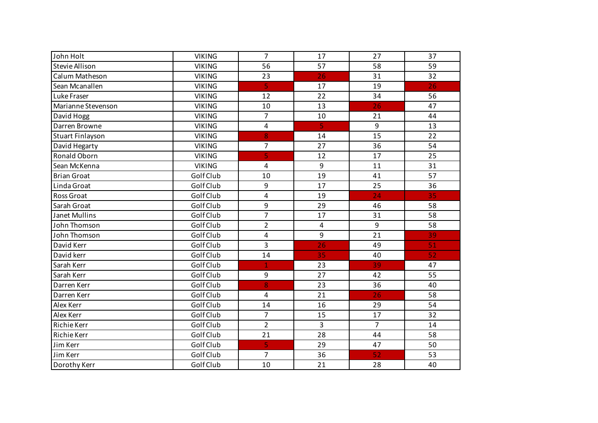| John Holt             | <b>VIKING</b> | $\overline{7}$          | 17                      | 27             | 37              |
|-----------------------|---------------|-------------------------|-------------------------|----------------|-----------------|
| <b>Stevie Allison</b> | <b>VIKING</b> | 56                      | 57                      | 58             | 59              |
| Calum Matheson        | <b>VIKING</b> | 23                      | 26                      | 31             | 32              |
| Sean Mcanallen        | <b>VIKING</b> | $\overline{5}$          | 17                      | 19             | 26              |
| Luke Fraser           | <b>VIKING</b> | 12                      | 22                      | 34             | 56              |
| Marianne Stevenson    | <b>VIKING</b> | 10                      | 13                      | 26             | 47              |
| David Hogg            | <b>VIKING</b> | $\overline{7}$          | 10                      | 21             | 44              |
| Darren Browne         | <b>VIKING</b> | $\pmb{4}$               | $\overline{\mathbf{5}}$ | 9              | 13              |
| Stuart Finlayson      | <b>VIKING</b> | 8                       | 14                      | 15             | 22              |
| David Hegarty         | <b>VIKING</b> | $\overline{7}$          | 27                      | 36             | 54              |
| <b>Ronald Oborn</b>   | <b>VIKING</b> | 5                       | 12                      | 17             | 25              |
| Sean McKenna          | <b>VIKING</b> | 4                       | 9                       | 11             | 31              |
| <b>Brian Groat</b>    | Golf Club     | 10                      | 19                      | 41             | 57              |
| Linda Groat           | Golf Club     | 9                       | 17                      | 25             | 36              |
| Ross Groat            | Golf Club     | 4                       | 19                      | 24             | 35              |
| Sarah Groat           | Golf Club     | 9                       | 29                      | 46             | 58              |
| Janet Mullins         | Golf Club     | $\overline{7}$          | 17                      | 31             | 58              |
| John Thomson          | Golf Club     | $\overline{2}$          | $\overline{\mathbf{4}}$ | 9              | 58              |
| John Thomson          | Golf Club     | 4                       | 9                       | 21             | 39              |
| David Kerr            | Golf Club     | 3                       | 26                      | 49             | 51              |
| David kerr            | Golf Club     | 14                      | 35                      | 40             | $\overline{52}$ |
| Sarah Kerr            | Golf Club     | $\mathbf{1}$            | 23                      | 39             | 47              |
| Sarah Kerr            | Golf Club     | $\boldsymbol{9}$        | 27                      | 42             | 55              |
| Darren Kerr           | Golf Club     | 8                       | 23                      | 36             | 40              |
| Darren Kerr           | Golf Club     | 4                       | 21                      | 26             | 58              |
| Alex Kerr             | Golf Club     | 14                      | 16                      | 29             | 54              |
| Alex Kerr             | Golf Club     | $\overline{7}$          | 15                      | 17             | 32              |
| <b>Richie Kerr</b>    | Golf Club     | $\overline{2}$          | 3                       | $\overline{7}$ | 14              |
| <b>Richie Kerr</b>    | Golf Club     | 21                      | 28                      | 44             | 58              |
| Jim Kerr              | Golf Club     | $\overline{\mathbf{5}}$ | 29                      | 47             | 50              |
| Jim Kerr              | Golf Club     | $\overline{7}$          | 36                      | 52             | 53              |
| Dorothy Kerr          | Golf Club     | 10                      | 21                      | 28             | 40              |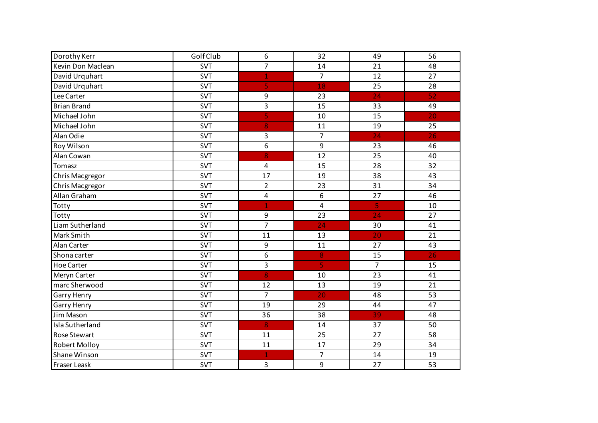| Dorothy Kerr         | Golf Club  | 6                       | 32                      | 49              | 56 |
|----------------------|------------|-------------------------|-------------------------|-----------------|----|
| Kevin Don Maclean    | <b>SVT</b> | $\overline{7}$          | 14                      | 21              | 48 |
| David Urquhart       | <b>SVT</b> | $\mathbf{1}$            | $\overline{7}$          | 12              | 27 |
| David Urquhart       | <b>SVT</b> | 5                       | 18                      | 25              | 28 |
| Lee Carter           | <b>SVT</b> | $\boldsymbol{9}$        | 23                      | 24              | 52 |
| <b>Brian Brand</b>   | <b>SVT</b> | 3                       | 15                      | 33              | 49 |
| Michael John         | <b>SVT</b> | 5                       | 10                      | 15              | 20 |
| Michael John         | <b>SVT</b> | 8                       | 11                      | 19              | 25 |
| Alan Odie            | <b>SVT</b> | 3                       | $\overline{7}$          | $\overline{24}$ | 26 |
| Roy Wilson           | <b>SVT</b> | 6                       | 9                       | 23              | 46 |
| Alan Cowan           | <b>SVT</b> | 8                       | 12                      | 25              | 40 |
| Tomasz               | <b>SVT</b> | $\overline{\mathbf{4}}$ | 15                      | 28              | 32 |
| Chris Macgregor      | <b>SVT</b> | 17                      | 19                      | 38              | 43 |
| Chris Macgregor      | <b>SVT</b> | $\overline{2}$          | 23                      | 31              | 34 |
| Allan Graham         | <b>SVT</b> | $\overline{\mathbf{4}}$ | 6                       | 27              | 46 |
| Totty                | <b>SVT</b> | $\overline{1}$          | $\overline{\mathbf{4}}$ | 5               | 10 |
| Totty                | <b>SVT</b> | 9                       | 23                      | 24              | 27 |
| Liam Sutherland      | <b>SVT</b> | $\overline{7}$          | 24                      | 30              | 41 |
| Mark Smith           | <b>SVT</b> | 11                      | 13                      | 20              | 21 |
| Alan Carter          | <b>SVT</b> | 9                       | 11                      | 27              | 43 |
| Shona carter         | <b>SVT</b> | 6                       | 8                       | 15              | 26 |
| <b>Hoe Carter</b>    | <b>SVT</b> | 3                       | 5                       | $\overline{7}$  | 15 |
| Meryn Carter         | <b>SVT</b> | 8                       | 10                      | 23              | 41 |
| marc Sherwood        | <b>SVT</b> | 12                      | 13                      | 19              | 21 |
| <b>Garry Henry</b>   | <b>SVT</b> | $\overline{7}$          | 20                      | 48              | 53 |
| Garry Henry          | <b>SVT</b> | 19                      | 29                      | 44              | 47 |
| Jim Mason            | <b>SVT</b> | 36                      | 38                      | 39              | 48 |
| Isla Sutherland      | <b>SVT</b> | 8                       | 14                      | 37              | 50 |
| Rose Stewart         | <b>SVT</b> | 11                      | 25                      | 27              | 58 |
| <b>Robert Molloy</b> | <b>SVT</b> | 11                      | 17                      | 29              | 34 |
| Shane Winson         | <b>SVT</b> | $\mathbf{1}$            | $\overline{7}$          | 14              | 19 |
| <b>Fraser Leask</b>  | <b>SVT</b> | 3                       | 9                       | 27              | 53 |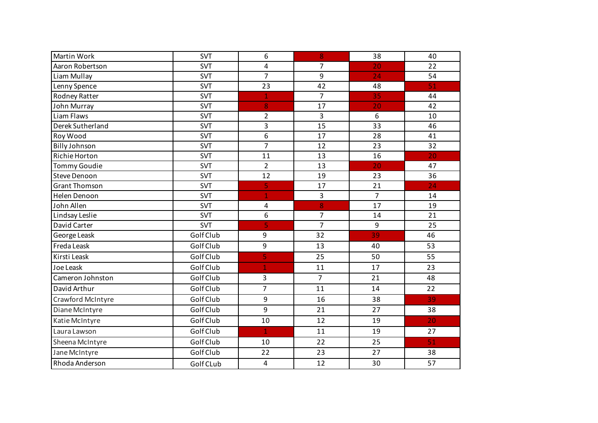| Martin Work          | SVT        | 6                       | 8              | 38             | 40 |
|----------------------|------------|-------------------------|----------------|----------------|----|
|                      |            |                         |                |                |    |
| Aaron Robertson      | <b>SVT</b> | 4                       | 7              | 20             | 22 |
| Liam Mullay          | <b>SVT</b> | $\overline{7}$          | 9              | 24             | 54 |
| Lenny Spence         | SVT        | 23                      | 42             | 48             | 51 |
| Rodney Ratter        | <b>SVT</b> | $\mathbf{1}$            | $\overline{7}$ | 35             | 44 |
| John Murray          | <b>SVT</b> | 8                       | 17             | 20             | 42 |
| Liam Flaws           | <b>SVT</b> | $\overline{2}$          | 3              | 6              | 10 |
| Derek Sutherland     | <b>SVT</b> | 3                       | 15             | 33             | 46 |
| Roy Wood             | <b>SVT</b> | $\overline{6}$          | 17             | 28             | 41 |
| <b>Billy Johnson</b> | <b>SVT</b> | 7                       | 12             | 23             | 32 |
| Richie Horton        | <b>SVT</b> | 11                      | 13             | 16             | 20 |
| <b>Tommy Goudie</b>  | <b>SVT</b> | $\overline{2}$          | 13             | 20             | 47 |
| <b>Steve Denoon</b>  | <b>SVT</b> | 12                      | 19             | 23             | 36 |
| <b>Grant Thomson</b> | <b>SVT</b> | 5                       | 17             | 21             | 24 |
| Helen Denoon         | <b>SVT</b> | $\mathbf{1}$            | 3              | $\overline{7}$ | 14 |
| John Allen           | <b>SVT</b> | 4                       | 8              | 17             | 19 |
| Lindsay Leslie       | <b>SVT</b> | 6                       | $\overline{7}$ | 14             | 21 |
| David Carter         | <b>SVT</b> | 5                       | $\overline{7}$ | 9              | 25 |
| George Leask         | Golf Club  | 9                       | 32             | 39             | 46 |
| Freda Leask          | Golf Club  | 9                       | 13             | 40             | 53 |
| Kirsti Leask         | Golf Club  | 5                       | 25             | 50             | 55 |
| Joe Leask            | Golf Club  | $\overline{\mathbf{1}}$ | 11             | 17             | 23 |
| Cameron Johnston     | Golf Club  | 3                       | $\overline{7}$ | 21             | 48 |
| David Arthur         | Golf Club  | $\overline{7}$          | 11             | 14             | 22 |
| Crawford McIntyre    | Golf Club  | 9                       | 16             | 38             | 39 |
| Diane McIntyre       | Golf Club  | 9                       | 21             | 27             | 38 |
| Katie McIntyre       | Golf Club  | 10                      | 12             | 19             | 20 |
| Laura Lawson         | Golf Club  | $\mathbf{1}$            | 11             | 19             | 27 |
| Sheena McIntyre      | Golf Club  | 10                      | 22             | 25             | 51 |
| Jane McIntyre        | Golf Club  | 22                      | 23             | 27             | 38 |
| Rhoda Anderson       | Golf CLub  | $\overline{4}$          | 12             | 30             | 57 |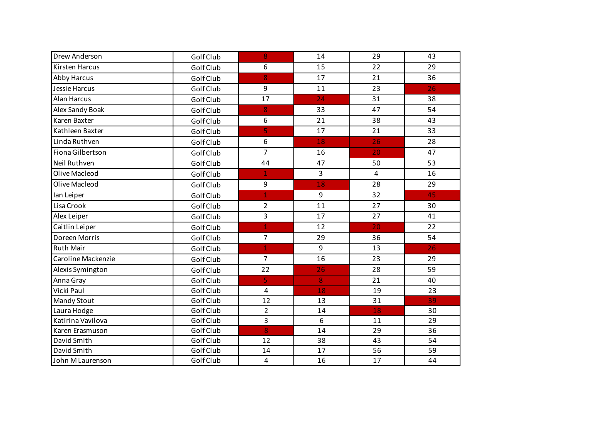| Drew Anderson      | Golf Club | 8              | 14 | 29 | 43 |
|--------------------|-----------|----------------|----|----|----|
| Kirsten Harcus     | Golf Club | 6              | 15 | 22 | 29 |
| <b>Abby Harcus</b> | Golf Club | 8              | 17 | 21 | 36 |
| Jessie Harcus      | Golf Club | 9              | 11 | 23 | 26 |
| <b>Alan Harcus</b> | Golf Club | 17             | 24 | 31 | 38 |
| Alex Sandy Boak    | Golf Club | 8              | 33 | 47 | 54 |
| Karen Baxter       | Golf Club | 6              | 21 | 38 | 43 |
| Kathleen Baxter    | Golf Club | 5              | 17 | 21 | 33 |
| Linda Ruthven      | Golf Club | 6              | 18 | 26 | 28 |
| Fiona Gilbertson   | Golf Club | $\overline{7}$ | 16 | 20 | 47 |
| Neil Ruthven       | Golf Club | 44             | 47 | 50 | 53 |
| Olive Macleod      | Golf Club | $\mathbf{1}$   | 3  | 4  | 16 |
| Olive Macleod      | Golf Club | 9              | 18 | 28 | 29 |
| lan Leiper         | Golf Club | $\mathbf{1}$   | 9  | 32 | 45 |
| Lisa Crook         | Golf Club | $\overline{2}$ | 11 | 27 | 30 |
| Alex Leiper        | Golf Club | 3              | 17 | 27 | 41 |
| Caitlin Leiper     | Golf Club | $\overline{1}$ | 12 | 20 | 22 |
| Doreen Morris      | Golf Club | $\overline{7}$ | 29 | 36 | 54 |
| <b>Ruth Mair</b>   | Golf Club | $\overline{1}$ | 9  | 13 | 26 |
| Caroline Mackenzie | Golf Club | $\overline{7}$ | 16 | 23 | 29 |
| Alexis Symington   | Golf Club | 22             | 26 | 28 | 59 |
| Anna Gray          | Golf Club | 5              | 8  | 21 | 40 |
| Vicki Paul         | Golf Club | 4              | 18 | 19 | 23 |
| <b>Mandy Stout</b> | Golf Club | 12             | 13 | 31 | 39 |
| Laura Hodge        | Golf Club | $\overline{2}$ | 14 | 18 | 30 |
| Katirina Vavilova  | Golf Club | 3              | 6  | 11 | 29 |
| Karen Erasmuson    | Golf Club | 8              | 14 | 29 | 36 |
| David Smith        | Golf Club | 12             | 38 | 43 | 54 |
| David Smith        | Golf Club | 14             | 17 | 56 | 59 |
| John M Laurenson   | Golf Club | 4              | 16 | 17 | 44 |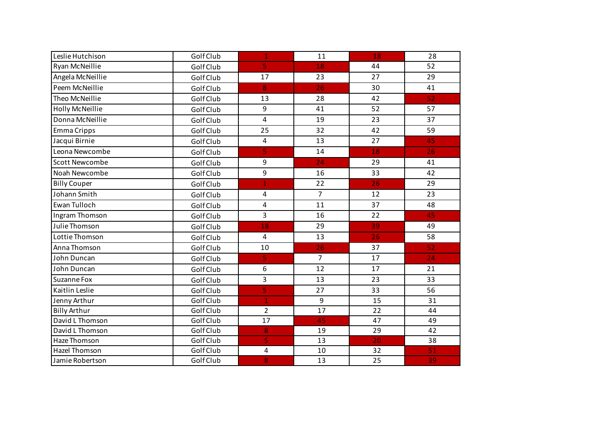| Leslie Hutchison       | Golf Club | $\mathbf 1$             | 11             | 18 | 28 |
|------------------------|-----------|-------------------------|----------------|----|----|
| Ryan McNeillie         | Golf Club | $\overline{5}$          | 18             | 44 | 52 |
| Angela McNeillie       | Golf Club | 17                      | 23             | 27 | 29 |
| Peem McNeillie         | Golf Club | 8                       | 26             | 30 | 41 |
| Theo McNeillie         | Golf Club | 13                      | 28             | 42 | 52 |
| <b>Holly McNeillie</b> | Golf Club | $\boldsymbol{9}$        | 41             | 52 | 57 |
| Donna McNeillie        | Golf Club | $\overline{4}$          | 19             | 23 | 37 |
| Emma Cripps            | Golf Club | 25                      | 32             | 42 | 59 |
| Jacqui Birnie          | Golf Club | $\overline{\mathbf{4}}$ | 13             | 27 | 45 |
| Leona Newcombe         | Golf Club | 5                       | 14             | 18 | 26 |
| <b>Scott Newcombe</b>  | Golf Club | 9                       | 24             | 29 | 41 |
| Noah Newcombe          | Golf Club | 9                       | 16             | 33 | 42 |
| <b>Billy Couper</b>    | Golf Club | 1                       | 22             | 26 | 29 |
| Johann Smith           | Golf Club | $\overline{\mathbf{4}}$ | $\overline{7}$ | 12 | 23 |
| Ewan Tulloch           | Golf Club | 4                       | 11             | 37 | 48 |
| Ingram Thomson         | Golf Club | $\overline{3}$          | 16             | 22 | 45 |
| Julie Thomson          | Golf Club | 18                      | 29             | 39 | 49 |
| Lottie Thomson         | Golf Club | 4                       | 13             | 26 | 58 |
| Anna Thomson           | Golf Club | 10                      | 26             | 37 | 52 |
| John Duncan            | Golf Club | 5.                      | $\overline{7}$ | 17 | 24 |
| John Duncan            | Golf Club | 6                       | 12             | 17 | 21 |
| <b>Suzanne Fox</b>     | Golf Club | $\overline{3}$          | 13             | 23 | 33 |
| Kaitlin Leslie         | Golf Club | 5                       | 27             | 33 | 56 |
| Jenny Arthur           | Golf Club | $\mathbf{1}$            | 9              | 15 | 31 |
| <b>Billy Arthur</b>    | Golf Club | $\overline{2}$          | 17             | 22 | 44 |
| David L Thomson        | Golf Club | 17                      | 45             | 47 | 49 |
| David L Thomson        | Golf Club | 8                       | 19             | 29 | 42 |
| Haze Thomson           | Golf Club | 5                       | 13             | 20 | 38 |
| <b>Hazel Thomson</b>   | Golf Club | 4                       | 10             | 32 | 51 |
| Jamie Robertson        | Golf Club | 8                       | 13             | 25 | 39 |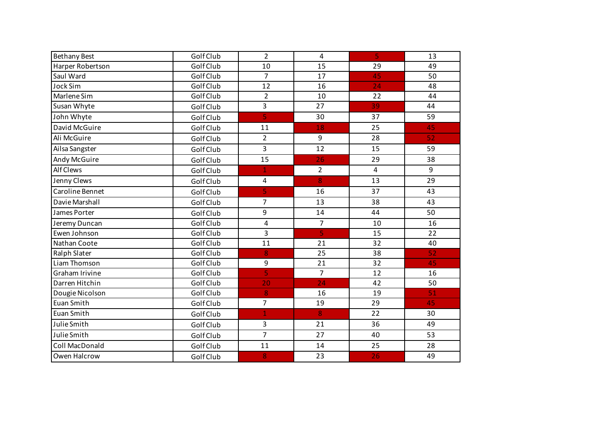| <b>Bethany Best</b> | Golf Club | $\overline{2}$ | 4               | 5  | 13 |
|---------------------|-----------|----------------|-----------------|----|----|
| Harper Robertson    | Golf Club | 10             | 15              | 29 | 49 |
| Saul Ward           | Golf Club | $\overline{7}$ | 17              | 45 | 50 |
| <b>Jock Sim</b>     | Golf Club | 12             | 16              | 24 | 48 |
| Marlene Sim         | Golf Club | $\overline{2}$ | 10              | 22 | 44 |
| Susan Whyte         | Golf Club | 3              | 27              | 39 | 44 |
| John Whyte          | Golf Club | 5              | 30              | 37 | 59 |
| David McGuire       | Golf Club | 11             | 18              | 25 | 45 |
| Ali McGuire         | Golf Club | $\overline{2}$ | 9               | 28 | 52 |
| Ailsa Sangster      | Golf Club | 3              | $\overline{12}$ | 15 | 59 |
| Andy McGuire        | Golf Club | 15             | 26              | 29 | 38 |
| <b>Alf Clews</b>    | Golf Club | $\overline{1}$ | $\overline{2}$  | 4  | 9  |
| Jenny Clews         | Golf Club | 4              | 8               | 13 | 29 |
| Caroline Bennet     | Golf Club | 5              | 16              | 37 | 43 |
| Davie Marshall      | Golf Club | $\overline{7}$ | 13              | 38 | 43 |
| James Porter        | Golf Club | 9              | 14              | 44 | 50 |
| Jeremy Duncan       | Golf Club | 4              | $\overline{7}$  | 10 | 16 |
| Ewen Johnson        | Golf Club | 3              | 5               | 15 | 22 |
| Nathan Coote        | Golf Club | 11             | 21              | 32 | 40 |
| Ralph Slater        | Golf Club | 8              | 25              | 38 | 52 |
| Liam Thomson        | Golf Club | 9              | 21              | 32 | 45 |
| Graham Irivine      | Golf Club | 5              | $\overline{7}$  | 12 | 16 |
| Darren Hitchin      | Golf Club | 20             | $\overline{24}$ | 42 | 50 |
| Dougie Nicolson     | Golf Club | 8              | 16              | 19 | 51 |
| Euan Smith          | Golf Club | $\overline{7}$ | 19              | 29 | 45 |
| Euan Smith          | Golf Club |                | 8               | 22 | 30 |
| Julie Smith         | Golf Club | 3              | 21              | 36 | 49 |
| Julie Smith         | Golf Club | $\overline{7}$ | 27              | 40 | 53 |
| Coll MacDonald      | Golf Club | 11             | 14              | 25 | 28 |
| Owen Halcrow        | Golf Club | 8              | 23              | 26 | 49 |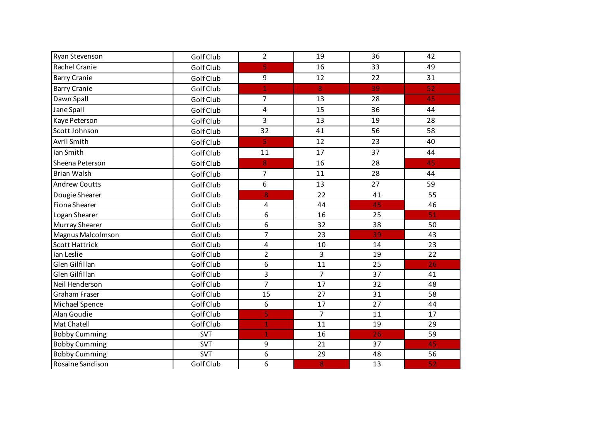| Ryan Stevenson        | Golf Club | $\overline{2}$ | 19             | 36 | 42 |
|-----------------------|-----------|----------------|----------------|----|----|
| <b>Rachel Cranie</b>  | Golf Club | 5              | 16             | 33 | 49 |
| <b>Barry Cranie</b>   | Golf Club | 9              | 12             | 22 | 31 |
| <b>Barry Cranie</b>   | Golf Club | $\overline{1}$ | 8              | 39 | 52 |
| Dawn Spall            | Golf Club | 7              | 13             | 28 | 45 |
| Jane Spall            | Golf Club | 4              | 15             | 36 | 44 |
| Kaye Peterson         | Golf Club | 3              | 13             | 19 | 28 |
| Scott Johnson         | Golf Club | 32             | 41             | 56 | 58 |
| Avril Smith           | Golf Club | 5              | 12             | 23 | 40 |
| Ian Smith             | Golf Club | 11             | 17             | 37 | 44 |
| Sheena Peterson       | Golf Club | 8              | 16             | 28 | 45 |
| <b>Brian Walsh</b>    | Golf Club | $\overline{7}$ | 11             | 28 | 44 |
| <b>Andrew Coutts</b>  | Golf Club | 6              | 13             | 27 | 59 |
| Dougie Shearer        | Golf Club | 8              | 22             | 41 | 55 |
| <b>Fiona Shearer</b>  | Golf Club | 4              | 44             | 45 | 46 |
| Logan Shearer         | Golf Club | 6              | 16             | 25 | 51 |
| Murray Shearer        | Golf Club | 6              | 32             | 38 | 50 |
| Magnus Malcolmson     | Golf Club | $\overline{7}$ | 23             | 39 | 43 |
| <b>Scott Hattrick</b> | Golf Club | 4              | 10             | 14 | 23 |
| Ian Leslie            | Golf Club | $\overline{2}$ | 3              | 19 | 22 |
| Glen Gilfillan        | Golf Club | 6              | 11             | 25 | 26 |
| Glen Gilfillan        | Golf Club | 3              | $\overline{7}$ | 37 | 41 |
| Neil Henderson        | Golf Club | $\overline{7}$ | 17             | 32 | 48 |
| Graham Fraser         | Golf Club | 15             | 27             | 31 | 58 |
| Michael Spence        | Golf Club | 6              | 17             | 27 | 44 |
| Alan Goudie           | Golf Club | 5              | $\overline{7}$ | 11 | 17 |
| Mat Chatell           | Golf Club | $\mathbf{1}$   | 11             | 19 | 29 |
| <b>Bobby Cumming</b>  | SVT       | 1              | 16             | 26 | 59 |
| <b>Bobby Cumming</b>  | SVT       | 9              | 21             | 37 | 45 |
| <b>Bobby Cumming</b>  | SVT       | 6              | 29             | 48 | 56 |
| Rosaine Sandison      | Golf Club | 6              | 8              | 13 | 52 |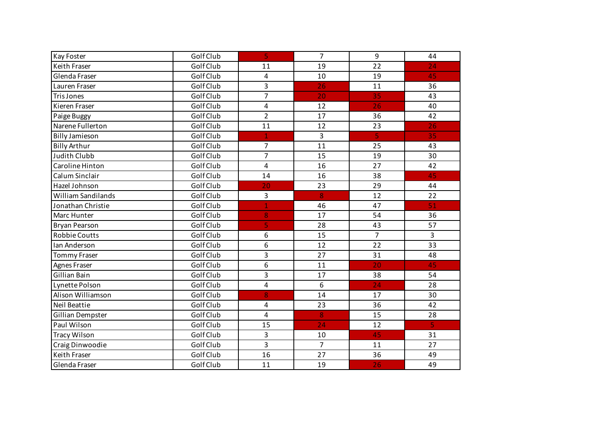| <b>Kay Foster</b>         | Golf Club | 5              | 7              | 9                       | 44 |
|---------------------------|-----------|----------------|----------------|-------------------------|----|
| Keith Fraser              | Golf Club | 11             | 19             | 22                      | 24 |
| Glenda Fraser             | Golf Club | 4              | 10             | 19                      | 45 |
| Lauren Fraser             | Golf Club | 3              | 26             | 11                      | 36 |
| <b>Tris Jones</b>         | Golf Club | $\overline{7}$ | 20             | 35                      | 43 |
| Kieren Fraser             | Golf Club | 4              | 12             | 26                      | 40 |
| Paige Buggy               | Golf Club | $\overline{2}$ | 17             | 36                      | 42 |
| Narene Fullerton          | Golf Club | 11             | 12             | 23                      | 26 |
| <b>Billy Jamieson</b>     | Golf Club | $\overline{1}$ | 3              | $\overline{\mathbf{5}}$ | 35 |
| <b>Billy Arthur</b>       | Golf Club | $\overline{7}$ | 11             | 25                      | 43 |
| <b>Judith Clubb</b>       | Golf Club | $\overline{7}$ | 15             | 19                      | 30 |
| Caroline Hinton           | Golf Club | 4              | 16             | 27                      | 42 |
| Calum Sinclair            | Golf Club | 14             | 16             | 38                      | 45 |
| Hazel Johnson             | Golf Club | 20             | 23             | 29                      | 44 |
| <b>William Sandilands</b> | Golf Club | 3              | 8              | 12                      | 22 |
| Jonathan Christie         | Golf Club | $\overline{1}$ | 46             | 47                      | 51 |
| Marc Hunter               | Golf Club | 8              | 17             | 54                      | 36 |
| <b>Bryan Pearson</b>      | Golf Club | 5              | 28             | 43                      | 57 |
| Robbie Coutts             | Golf Club | 6              | 15             | $\overline{7}$          | 3  |
| Ian Anderson              | Golf Club | 6              | 12             | 22                      | 33 |
| <b>Tommy Fraser</b>       | Golf Club | 3              | 27             | 31                      | 48 |
| <b>Agnes Fraser</b>       | Golf Club | 6              | 11             | 20                      | 45 |
| Gillian Bain              | Golf Club | 3              | 17             | 38                      | 54 |
| Lynette Polson            | Golf Club | 4              | 6              | $\overline{24}$         | 28 |
| Alison Williamson         | Golf Club | 8              | 14             | 17                      | 30 |
| Neil Beattie              | Golf Club | 4              | 23             | 36                      | 42 |
| Gillian Dempster          | Golf Club | $\overline{4}$ | 8              | 15                      | 28 |
| Paul Wilson               | Golf Club | 15             | 24             | 12                      | 5  |
| <b>Tracy Wilson</b>       | Golf Club | 3              | 10             | 45                      | 31 |
| Craig Dinwoodie           | Golf Club | 3              | $\overline{7}$ | 11                      | 27 |
| Keith Fraser              | Golf Club | 16             | 27             | 36                      | 49 |
| Glenda Fraser             | Golf Club | 11             | 19             | 26                      | 49 |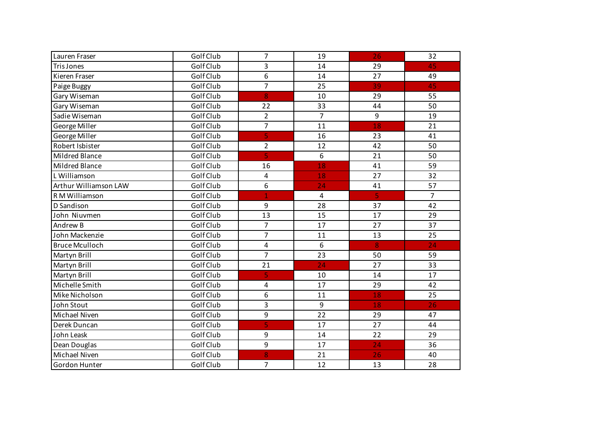| Lauren Fraser         | Golf Club | $\overline{7}$          | 19             | 26                      | 32             |
|-----------------------|-----------|-------------------------|----------------|-------------------------|----------------|
| <b>Tris Jones</b>     | Golf Club | 3                       | 14             | 29                      | 45             |
| Kieren Fraser         | Golf Club | 6                       | 14             | 27                      | 49             |
| Paige Buggy           | Golf Club | $\overline{7}$          | 25             | 39                      | 45             |
| Gary Wiseman          | Golf Club | 8                       | 10             | 29                      | 55             |
| Gary Wiseman          | Golf Club | 22                      | 33             | 44                      | 50             |
| Sadie Wiseman         | Golf Club | $\overline{2}$          | $\overline{7}$ | 9                       | 19             |
| George Miller         | Golf Club | $\overline{7}$          | 11             | 18                      | 21             |
| George Miller         | Golf Club | 5                       | 16             | 23                      | 41             |
| Robert Isbister       | Golf Club | $\overline{2}$          | 12             | 42                      | 50             |
| Mildred Blance        | Golf Club | $\overline{\mathbf{5}}$ | 6              | 21                      | 50             |
| Mildred Blance        | Golf Club | 16                      | 18             | 41                      | 59             |
| L Williamson          | Golf Club | 4                       | 18             | 27                      | 32             |
| Arthur Williamson LAW | Golf Club | 6                       | 24             | 41                      | 57             |
| R M Williamson        | Golf Club | $\mathbf{1}$            | $\overline{4}$ | $\overline{\mathbf{5}}$ | $\overline{7}$ |
| D Sandison            | Golf Club | 9                       | 28             | 37                      | 42             |
| John Niuvmen          | Golf Club | 13                      | 15             | 17                      | 29             |
| Andrew B              | Golf Club | $\overline{7}$          | 17             | 27                      | 37             |
| John Mackenzie        | Golf Club | $\overline{7}$          | 11             | 13                      | 25             |
| <b>Bruce Mculloch</b> | Golf Club | $\overline{\mathbf{4}}$ | 6              | 8                       | 24             |
| Martyn Brill          | Golf Club | $\overline{7}$          | 23             | 50                      | 59             |
| Martyn Brill          | Golf Club | 21                      | 24             | 27                      | 33             |
| Martyn Brill          | Golf Club | 5                       | 10             | 14                      | 17             |
| Michelle Smith        | Golf Club | 4                       | 17             | 29                      | 42             |
| Mike Nicholson        | Golf Club | 6                       | 11             | 18                      | 25             |
| John Stout            | Golf Club | 3                       | 9              | 18                      | 26             |
| Michael Niven         | Golf Club | 9                       | 22             | 29                      | 47             |
| Derek Duncan          | Golf Club | 5                       | 17             | 27                      | 44             |
| John Leask            | Golf Club | 9                       | 14             | 22                      | 29             |
| Dean Douglas          | Golf Club | 9                       | 17             | 24                      | 36             |
| Michael Niven         | Golf Club | 8                       | 21             | 26                      | 40             |
| Gordon Hunter         | Golf Club | $\overline{7}$          | 12             | 13                      | 28             |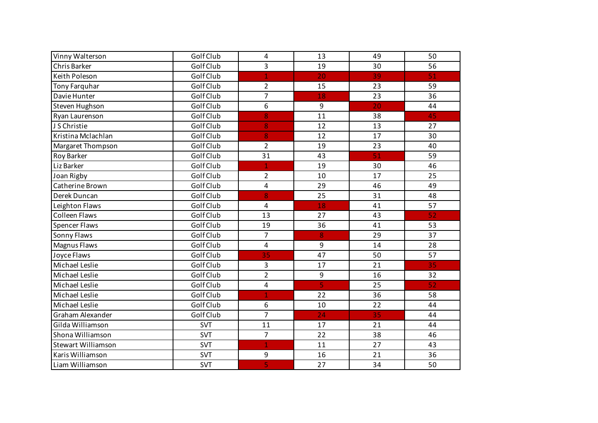| Vinny Walterson           | Golf Club  | 4                       | 13                      | 49 | 50 |
|---------------------------|------------|-------------------------|-------------------------|----|----|
| Chris Barker              | Golf Club  | 3                       | 19                      | 30 | 56 |
| Keith Poleson             | Golf Club  | $\mathbf{1}$            | 20                      | 39 | 51 |
| Tony Farquhar             | Golf Club  | $\overline{2}$          | 15                      | 23 | 59 |
| Davie Hunter              | Golf Club  | $\overline{7}$          | 18                      | 23 | 36 |
| <b>Steven Hughson</b>     | Golf Club  | 6                       | 9                       | 20 | 44 |
| Ryan Laurenson            | Golf Club  | 8                       | 11                      | 38 | 45 |
| J S Christie              | Golf Club  | 8                       | 12                      | 13 | 27 |
| Kristina Mclachlan        | Golf Club  | 8                       | 12                      | 17 | 30 |
| Margaret Thompson         | Golf Club  | $\overline{2}$          | 19                      | 23 | 40 |
| Roy Barker                | Golf Club  | 31                      | 43                      | 51 | 59 |
| Liz Barker                | Golf Club  | $\mathbf{1}$            | 19                      | 30 | 46 |
| Joan Rigby                | Golf Club  | $\overline{2}$          | 10                      | 17 | 25 |
| Catherine Brown           | Golf Club  | 4                       | 29                      | 46 | 49 |
| Derek Duncan              | Golf Club  | 8                       | 25                      | 31 | 48 |
| Leighton Flaws            | Golf Club  | $\pmb{4}$               | 18                      | 41 | 57 |
| <b>Colleen Flaws</b>      | Golf Club  | 13                      | 27                      | 43 | 52 |
| <b>Spencer Flaws</b>      | Golf Club  | 19                      | 36                      | 41 | 53 |
| Sonny Flaws               | Golf Club  | $\overline{7}$          | 8                       | 29 | 37 |
| Magnus Flaws              | Golf Club  | $\overline{\mathbf{4}}$ | 9                       | 14 | 28 |
| Joyce Flaws               | Golf Club  | 35                      | 47                      | 50 | 57 |
| Michael Leslie            | Golf Club  | 3                       | 17                      | 21 | 35 |
| Michael Leslie            | Golf Club  | $\overline{2}$          | $\overline{9}$          | 16 | 32 |
| Michael Leslie            | Golf Club  | $\overline{\mathbf{4}}$ | $\overline{\mathbf{5}}$ | 25 | 52 |
| Michael Leslie            | Golf Club  | 1                       | 22                      | 36 | 58 |
| Michael Leslie            | Golf Club  | 6                       | 10                      | 22 | 44 |
| Graham Alexander          | Golf Club  | $\overline{7}$          | $\overline{24}$         | 35 | 44 |
| Gilda Williamson          | <b>SVT</b> | 11                      | 17                      | 21 | 44 |
| Shona Williamson          | <b>SVT</b> | $\overline{7}$          | 22                      | 38 | 46 |
| <b>Stewart Williamson</b> | <b>SVT</b> | $\overline{1}$          | 11                      | 27 | 43 |
| Karis Williamson          | <b>SVT</b> | 9                       | 16                      | 21 | 36 |
| Liam Williamson           | <b>SVT</b> | 5                       | 27                      | 34 | 50 |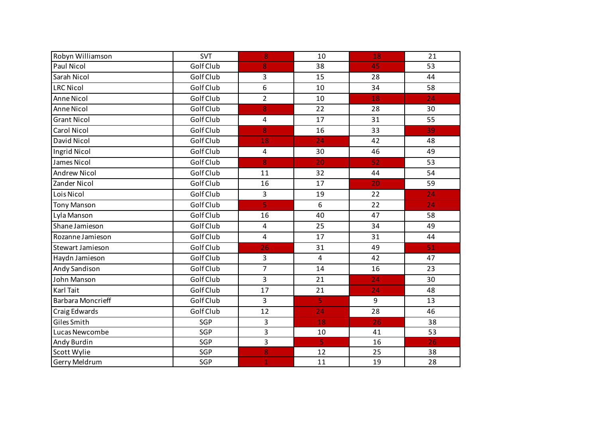| Robyn Williamson         | <b>SVT</b> | 8                       | 10                      | 18 | 21 |
|--------------------------|------------|-------------------------|-------------------------|----|----|
| Paul Nicol               | Golf Club  | 8                       | 38                      | 45 | 53 |
| Sarah Nicol              | Golf Club  | 3                       | 15                      | 28 | 44 |
| <b>LRC Nicol</b>         | Golf Club  | 6                       | 10                      | 34 | 58 |
| Anne Nicol               | Golf Club  | $\overline{2}$          | 10                      | 18 | 24 |
| Anne Nicol               | Golf Club  | 8                       | 22                      | 28 | 30 |
| <b>Grant Nicol</b>       | Golf Club  | 4                       | 17                      | 31 | 55 |
| <b>Carol Nicol</b>       | Golf Club  | 8                       | 16                      | 33 | 39 |
| David Nicol              | Golf Club  | 18                      | 24                      | 42 | 48 |
| Ingrid Nicol             | Golf Club  | $\overline{\mathbf{4}}$ | 30                      | 46 | 49 |
| James Nicol              | Golf Club  | 8                       | 20                      | 52 | 53 |
| <b>Andrew Nicol</b>      | Golf Club  | 11                      | 32                      | 44 | 54 |
| Zander Nicol             | Golf Club  | 16                      | 17                      | 20 | 59 |
| Lois Nicol               | Golf Club  | 3                       | 19                      | 22 | 24 |
| <b>Tony Manson</b>       | Golf Club  | 5                       | 6                       | 22 | 24 |
| Lyla Manson              | Golf Club  | 16                      | 40                      | 47 | 58 |
| Shane Jamieson           | Golf Club  | $\overline{4}$          | 25                      | 34 | 49 |
| Rozanne Jamieson         | Golf Club  | $\overline{\mathbf{4}}$ | 17                      | 31 | 44 |
| Stewart Jamieson         | Golf Club  | 26                      | 31                      | 49 | 51 |
| Haydn Jamieson           | Golf Club  | 3                       | $\overline{4}$          | 42 | 47 |
| Andy Sandison            | Golf Club  | $\overline{7}$          | 14                      | 16 | 23 |
| John Manson              | Golf Club  | 3                       | 21                      | 24 | 30 |
| Karl Tait                | Golf Club  | 17                      | 21                      | 24 | 48 |
| <b>Barbara Moncrieff</b> | Golf Club  | 3                       | 5                       | 9  | 13 |
| Craig Edwards            | Golf Club  | 12                      | 24                      | 28 | 46 |
| Giles Smith              | SGP        | 3                       | 18                      | 26 | 38 |
| Lucas Newcombe           | SGP        | 3                       | 10                      | 41 | 53 |
| Andy Burdin              | SGP        | 3                       | $\overline{\mathbf{5}}$ | 16 | 26 |
| Scott Wylie              | SGP        | 8                       | 12                      | 25 | 38 |
| Gerry Meldrum            | SGP        | 1                       | 11                      | 19 | 28 |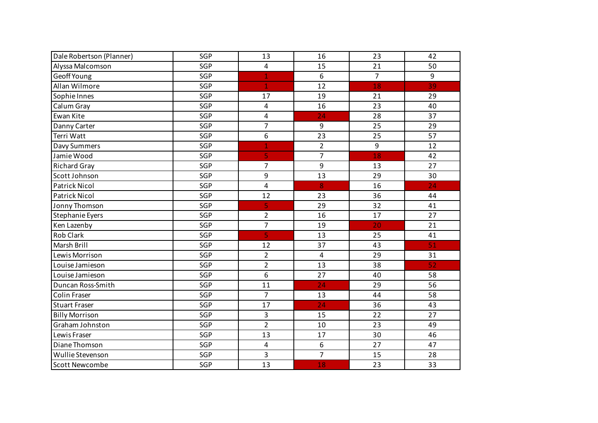| Dale Robertson (Planner) | SGP | 13                      | 16                      | 23             | 42 |
|--------------------------|-----|-------------------------|-------------------------|----------------|----|
| Alyssa Malcomson         | SGP | $\overline{\mathbf{4}}$ | 15                      | 21             | 50 |
| Geoff Young              | SGP | $\mathbf{1}$            | 6                       | $\overline{7}$ | 9  |
| Allan Wilmore            | SGP | $\mathbf{1}$            | 12                      | 18             | 39 |
| Sophie Innes             | SGP | 17                      | 19                      | 21             | 29 |
| Calum Gray               | SGP | 4                       | 16                      | 23             | 40 |
| Ewan Kite                | SGP | 4                       | 24                      | 28             | 37 |
| Danny Carter             | SGP | $\overline{7}$          | 9                       | 25             | 29 |
| Terri Watt               | SGP | 6                       | 23                      | 25             | 57 |
| Davy Summers             | SGP | $\overline{1}$          | $\overline{2}$          | 9              | 12 |
| Jamie Wood               | SGP | 5                       | $\overline{7}$          | 18             | 42 |
| <b>Richard Gray</b>      | SGP | $\overline{7}$          | 9                       | 13             | 27 |
| Scott Johnson            | SGP | 9                       | 13                      | 29             | 30 |
| <b>Patrick Nicol</b>     | SGP | 4                       | 8                       | 16             | 24 |
| <b>Patrick Nicol</b>     | SGP | 12                      | 23                      | 36             | 44 |
| Jonny Thomson            | SGP | 5                       | 29                      | 32             | 41 |
| Stephanie Eyers          | SGP | $\overline{2}$          | 16                      | 17             | 27 |
| Ken Lazenby              | SGP | $\overline{7}$          | 19                      | 20             | 21 |
| Rob Clark                | SGP | 5                       | 13                      | 25             | 41 |
| Marsh Brill              | SGP | 12                      | 37                      | 43             | 51 |
| Lewis Morrison           | SGP | $\overline{2}$          | $\overline{\mathbf{4}}$ | 29             | 31 |
| Louise Jamieson          | SGP | $\overline{2}$          | 13                      | 38             | 52 |
| Louise Jamieson          | SGP | 6                       | 27                      | 40             | 58 |
| Duncan Ross-Smith        | SGP | 11                      | 24                      | 29             | 56 |
| Colin Fraser             | SGP | $\overline{7}$          | 13                      | 44             | 58 |
| <b>Stuart Fraser</b>     | SGP | 17                      | 24                      | 36             | 43 |
| <b>Billy Morrison</b>    | SGP | 3                       | 15                      | 22             | 27 |
| Graham Johnston          | SGP | $\overline{2}$          | 10                      | 23             | 49 |
| Lewis Fraser             | SGP | 13                      | 17                      | 30             | 46 |
| Diane Thomson            | SGP | $\overline{\mathbf{4}}$ | 6                       | 27             | 47 |
| Wullie Stevenson         | SGP | 3                       | $\overline{7}$          | 15             | 28 |
| <b>Scott Newcombe</b>    | SGP | 13                      | 18                      | 23             | 33 |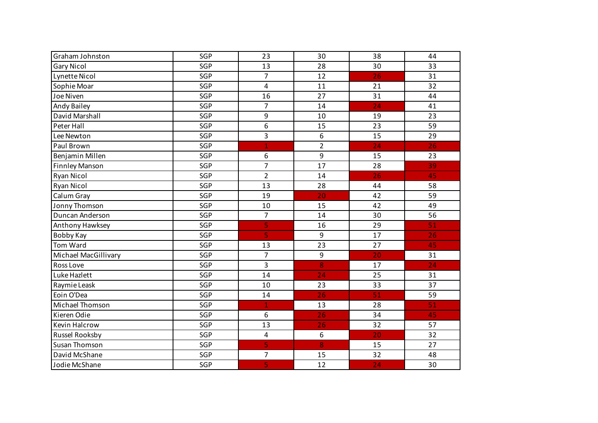| Graham Johnston       | SGP        | 23                      | 30               | 38              | 44 |
|-----------------------|------------|-------------------------|------------------|-----------------|----|
| <b>Gary Nicol</b>     | SGP        | 13                      | 28               | 30              | 33 |
| Lynette Nicol         | SGP        | $\overline{7}$          | 12               | 26              | 31 |
| Sophie Moar           | SGP        | $\overline{\mathbf{4}}$ | 11               | 21              | 32 |
| Joe Niven             | SGP        | 16                      | 27               | 31              | 44 |
| Andy Bailey           | SGP        | $\overline{7}$          | 14               | 24              | 41 |
|                       |            |                         |                  |                 |    |
| David Marshall        | SGP        | 9                       | 10               | 19              | 23 |
| Peter Hall            | SGP        | 6                       | 15               | 23              | 59 |
| Lee Newton            | <b>SGP</b> | 3                       | 6                | 15              | 29 |
| Paul Brown            | SGP        | $\mathbf 1$             | $\overline{2}$   | 24              | 26 |
| Benjamin Millen       | SGP        | 6                       | 9                | 15              | 23 |
| <b>Finnley Manson</b> | SGP        | $\overline{7}$          | 17               | 28              | 39 |
| Ryan Nicol            | SGP        | $\overline{2}$          | 14               | 26              | 45 |
| Ryan Nicol            | SGP        | 13                      | 28               | 44              | 58 |
| Calum Gray            | SGP        | 19                      | 20               | 42              | 59 |
| Jonny Thomson         | SGP        | 10                      | 15               | 42              | 49 |
| Duncan Anderson       | SGP        | $\overline{7}$          | 14               | 30              | 56 |
| Anthony Hawksey       | SGP        | 5                       | 16               | 29              | 51 |
| Bobby Kay             | SGP        | 5                       | 9                | 17              | 26 |
| Tom Ward              | SGP        | 13                      | 23               | 27              | 45 |
| Michael MacGillivary  | SGP        | $\overline{7}$          | $\boldsymbol{9}$ | $\overline{20}$ | 31 |
| Ross Love             | SGP        | 3                       | 8                | 17              | 24 |
| Luke Hazlett          | SGP        | 14                      | 24               | 25              | 31 |
| Raymie Leask          | SGP        | 10                      | 23               | 33              | 37 |
| Eoin O'Dea            | SGP        | 14                      | 26               | 51              | 59 |
| Michael Thomson       | SGP        | $\mathbf{1}$            | 13               | 28              | 51 |
| Kieren Odie           | SGP        | 6                       | 26               | 34              | 45 |
| <b>Kevin Halcrow</b>  | SGP        | 13                      | 26               | 32              | 57 |
| Russel Rooksby        | SGP        | 4                       | 6                | 20              | 32 |
| <b>Susan Thomson</b>  | SGP        | 5                       | 8                | 15              | 27 |
| David McShane         | SGP        | $\overline{7}$          | 15               | 32              | 48 |
| Jodie McShane         | SGP        | 5                       | 12               | 24              | 30 |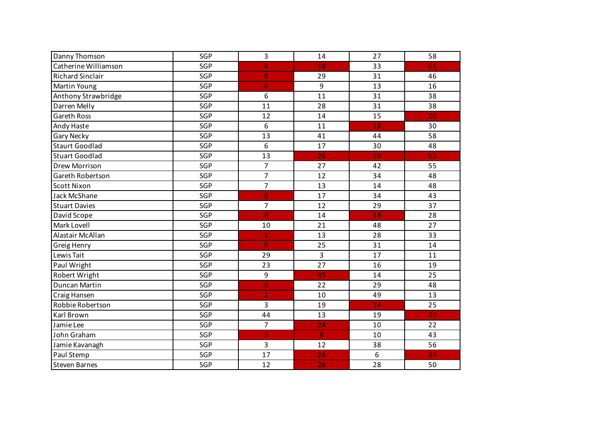| Danny Thomson           | SGP | 3                       | 14 | 27 | 58 |
|-------------------------|-----|-------------------------|----|----|----|
| Catherine Williamson    | SGP | 8                       | 18 | 33 | 51 |
| <b>Richard Sinclair</b> | SGP | 8                       | 29 | 31 | 46 |
| Martin Young            | SGP | 8                       | 9  | 13 | 16 |
| Anthony Strawbridge     | SGP | 6                       | 11 | 31 | 38 |
| Darren Melly            | SGP | 11                      | 28 | 31 | 38 |
| Gareth Ross             | SGP | 12                      | 14 | 15 | 18 |
| Andy Haste              | SGP | 6                       | 11 | 18 | 30 |
| <b>Gary Necky</b>       | SGP | 13                      | 41 | 44 | 58 |
| <b>Staurt Goodlad</b>   | SGP | 6                       | 17 | 30 | 48 |
| <b>Stuart Goodlad</b>   | SGP | 13                      | 26 | 39 | 52 |
| Drew Morrison           | SGP | $\overline{7}$          | 27 | 42 | 55 |
| Gareth Robertson        | SGP | $\overline{7}$          | 12 | 34 | 48 |
| <b>Scott Nixon</b>      | SGP | $\overline{7}$          | 13 | 14 | 48 |
| Jack McShane            | SGP | 8                       | 17 | 34 | 43 |
| <b>Stuart Davies</b>    | SGP | $\overline{7}$          | 12 | 29 | 37 |
| David Scope             | SGP | 8                       | 14 | 18 | 28 |
| Mark Lovell             | SGP | 10                      | 21 | 48 | 27 |
| Alastair McAllan        | SGP | $\mathbf{1}$            | 13 | 28 | 33 |
| Greig Henry             | SGP | 8                       | 25 | 31 | 14 |
| Lewis Tait              | SGP | 29                      | 3  | 17 | 11 |
| Paul Wright             | SGP | 23                      | 27 | 16 | 19 |
| Robert Wright           | SGP | $\overline{9}$          | 45 | 14 | 25 |
| Duncan Martin           | SGP | $\overline{\mathbf{5}}$ | 22 | 29 | 48 |
| Craig Hansen            | SGP | 1                       | 10 | 49 | 13 |
| Robbie Robertson        | SGP | 3                       | 19 | 24 | 25 |
| Karl Brown              | SGP | 44                      | 13 | 19 | 39 |
| Jamie Lee               | SGP | $\overline{7}$          | 24 | 10 | 22 |
| John Graham             | SGP | 5                       | 8  | 10 | 43 |
| Jamie Kavanagh          | SGP | 3                       | 12 | 38 | 56 |
| Paul Stemp              | SGP | 17                      | 24 | 6  | 39 |
| <b>Steven Barnes</b>    | SGP | 12                      | 26 | 28 | 50 |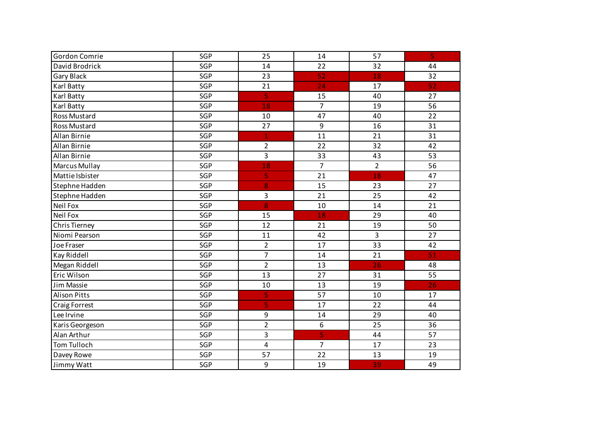| Gordon Comrie        | SGP | 25                      | 14              | 57              | $\overline{\mathbf{5}}$ |
|----------------------|-----|-------------------------|-----------------|-----------------|-------------------------|
| David Brodrick       | SGP | 14                      | 22              | 32              | 44                      |
| <b>Gary Black</b>    | SGP | 23                      | 52              | 18              | 32                      |
| Karl Batty           | SGP | 21                      | 24              | 17              | 52                      |
| Karl Batty           | SGP | $\overline{5}$          | 15              | 40              | 27                      |
| Karl Batty           | SGP | 18                      | $\overline{7}$  | 19              | 56                      |
| <b>Ross Mustard</b>  | SGP | 10                      | 47              | 40              | 22                      |
| <b>Ross Mustard</b>  | SGP | 27                      | 9               | 16              | 31                      |
| Allan Birnie         | SGP | $\mathbf{1}$            | 11              | 21              | 31                      |
| Allan Birnie         | SGP | $\overline{2}$          | 22              | 32              | 42                      |
| Allan Birnie         | SGP | 3                       | 33              | 43              | 53                      |
| <b>Marcus Mullay</b> | SGP | 18                      | $\overline{7}$  | $\overline{2}$  | 56                      |
| Mattie Isbister      | SGP | 5                       | 21              | 18              | 47                      |
| Stephne Hadden       | SGP | 8                       | 15              | 23              | 27                      |
| Stephne Hadden       | SGP | $\overline{3}$          | 21              | 25              | 42                      |
| Neil Fox             | SGP | 8                       | 10              | 14              | 21                      |
| Neil Fox             | SGP | 15                      | 18              | 29              | 40                      |
| Chris Tierney        | SGP | 12                      | 21              | 19              | 50                      |
| Niomi Pearson        | SGP | 11                      | 42              | 3               | 27                      |
| Joe Fraser           | SGP | $\overline{2}$          | 17              | $\overline{33}$ | 42                      |
| Kay Riddell          | SGP | $\overline{7}$          | 14              | 21              | 51                      |
| Megan Riddell        | SGP | $\overline{2}$          | 13              | 26              | 48                      |
| Eric Wilson          | SGP | $\overline{13}$         | $\overline{27}$ | 31              | $\overline{55}$         |
| Jim Massie           | SGP | 10                      | 13              | 19              | $\overline{26}$         |
| <b>Alison Pitts</b>  | SGP | 5                       | 57              | 10              | 17                      |
| Craig Forrest        | SGP | 5                       | 17              | 22              | 44                      |
| Lee Irvine           | SGP | 9                       | 14              | 29              | 40                      |
| Karis Georgeson      | SGP | $\overline{2}$          | 6               | 25              | 36                      |
| Alan Arthur          | SGP | 3                       | 5               | 44              | 57                      |
| <b>Tom Tulloch</b>   | SGP | $\overline{\mathbf{4}}$ | $\overline{7}$  | 17              | 23                      |
| Davey Rowe           | SGP | 57                      | 22              | 13              | 19                      |
| Jimmy Watt           | SGP | 9                       | 19              | 39              | 49                      |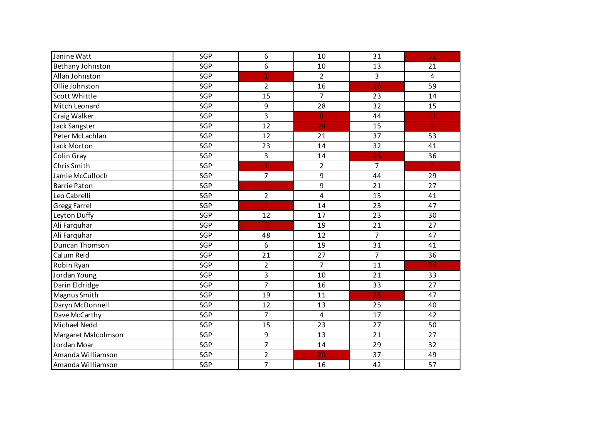| Janine Watt          | SGP        | 6                | 10             | 31             | 52             |
|----------------------|------------|------------------|----------------|----------------|----------------|
| Bethany Johnston     | SGP        | 6                | 10             | 13             | 21             |
| Allan Johnston       | SGP        | $\overline{1}$   | $\overline{2}$ | 3              | $\overline{4}$ |
| Ollie Johnston       | SGP        | $\overline{2}$   | 16             | 26             | 59             |
| <b>Scott Whittle</b> | SGP        | 15               | $\overline{7}$ | 23             | 14             |
| Mitch Leonard        | SGP        | $\boldsymbol{9}$ | 28             | 32             | 15             |
| Craig Walker         | SGP        | 3                | 8              | 44             | 51             |
| Jack Sangster        | SGP        | 12               | 24             | 15             | 8              |
| Peter McLachlan      | SGP        | 12               | 21             | 37             | 53             |
| <b>Jack Morton</b>   | SGP        | 23               | 14             | 32             | 41             |
| Colin Gray           | SGP        | 3                | 14             | 26             | 36             |
| Chris Smith          | <b>SGP</b> | $\mathbf{1}$     | $\overline{2}$ | $\overline{7}$ | 8              |
| Jamie McCulloch      | SGP        | 7                | 9              | 44             | 29             |
| <b>Barrie Paton</b>  | SGP        | 5                | 9              | 21             | 27             |
| Leo Cabrelli         | SGP        | $\overline{2}$   | 4              | 15             | 41             |
| <b>Gregg Farrel</b>  | SGP        | 8                | 14             | 23             | 47             |
| Leyton Duffy         | SGP        | 12               | 17             | 23             | 30             |
| Ali Farquhar         | SGP        | $\overline{5}$   | 19             | 21             | 27             |
| Ali Farquhar         | SGP        | 48               | 12             | $\overline{7}$ | 47             |
| Duncan Thomson       | SGP        | 6                | 19             | 31             | 41             |
| Calum Reid           | SGP        | 21               | 27             | $\overline{7}$ | 36             |
| Robin Ryan           | SGP        | $\overline{c}$   | $\overline{7}$ | 11             | 26             |
| Jordan Young         | SGP        | 3                | 10             | 21             | 33             |
| Darin Eldridge       | SGP        | $\overline{7}$   | 16             | 33             | 27             |
| Magnus Smith         | SGP        | 19               | 11             | 26             | 47             |
| Daryn McDonnell      | SGP        | 12               | 13             | 25             | 40             |
| Dave McCarthy        | SGP        | $\overline{7}$   | 4              | 17             | 42             |
| Michael Nedd         | SGP        | 15               | 23             | 27             | 50             |
| Margaret Malcolmson  | SGP        | 9                | 13             | 21             | 27             |
| Jordan Moar          | SGP        | 7                | 14             | 29             | 32             |
| Amanda Williamson    | SGP        | $\overline{2}$   | 20             | 37             | 49             |
| Amanda Williamson    | SGP        | $\overline{7}$   | 16             | 42             | 57             |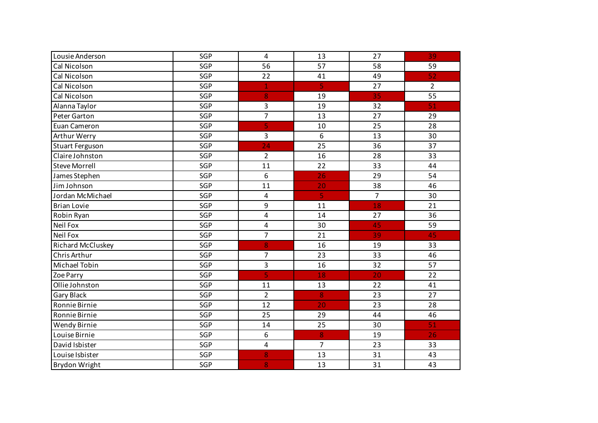| Lousie Anderson        | SGP | $\overline{a}$ | 13             | 27             | 39             |
|------------------------|-----|----------------|----------------|----------------|----------------|
| Cal Nicolson           | SGP | 56             | 57             | 58             | 59             |
| Cal Nicolson           | SGP | 22             | 41             | 49             | 52             |
| Cal Nicolson           | SGP | $\mathbf{1}$   | 5              | 27             | $\overline{2}$ |
| Cal Nicolson           | SGP | 8              | 19             | 35             | 55             |
| Alanna Taylor          | SGP | 3              | 19             | 32             | 51             |
| Peter Garton           | SGP | $\overline{7}$ | 13             | 27             | 29             |
| Euan Cameron           | SGP | 5              | 10             | 25             | 28             |
| Arthur Werry           | SGP | 3              | 6              | 13             | 30             |
| <b>Stuart Ferguson</b> | SGP | 24             | 25             | 36             | 37             |
| Claire Johnston        | SGP | $\overline{2}$ | 16             | 28             | 33             |
| <b>Steve Morrell</b>   | SGP | 11             | 22             | 33             | 44             |
| James Stephen          | SGP | 6              | 26             | 29             | 54             |
| Jim Johnson            | SGP | 11             | 20             | 38             | 46             |
| Jordan McMichael       | SGP | 4              | $\sf S$        | $\overline{7}$ | 30             |
| <b>Brian Lovie</b>     | SGP | 9              | 11             | 18             | 21             |
| Robin Ryan             | SGP | 4              | 14             | 27             | 36             |
| Neil Fox               | SGP | 4              | 30             | 45             | 59             |
| Neil Fox               | SGP | $\overline{7}$ | 21             | 39             | 45             |
| Richard McCluskey      | SGP | 8              | 16             | 19             | 33             |
| Chris Arthur           | SGP | $\overline{7}$ | 23             | 33             | 46             |
| Michael Tobin          | SGP | 3              | 16             | 32             | 57             |
| Zoe Parry              | SGP | 5              | 18             | 20             | 22             |
| Ollie Johnston         | SGP | 11             | 13             | 22             | 41             |
| <b>Gary Black</b>      | SGP | $\overline{2}$ | 8              | 23             | 27             |
| Ronnie Birnie          | SGP | 12             | 20             | 23             | 28             |
| Ronnie Birnie          | SGP | 25             | 29             | 44             | 46             |
| Wendy Birnie           | SGP | 14             | 25             | 30             | 51             |
| Louise Birnie          | SGP | 6              | 8              | 19             | 26             |
| David Isbister         | SGP | 4              | $\overline{7}$ | 23             | 33             |
| Louise Isbister        | SGP | 8              | 13             | 31             | 43             |
| <b>Brydon Wright</b>   | SGP | 8              | 13             | 31             | 43             |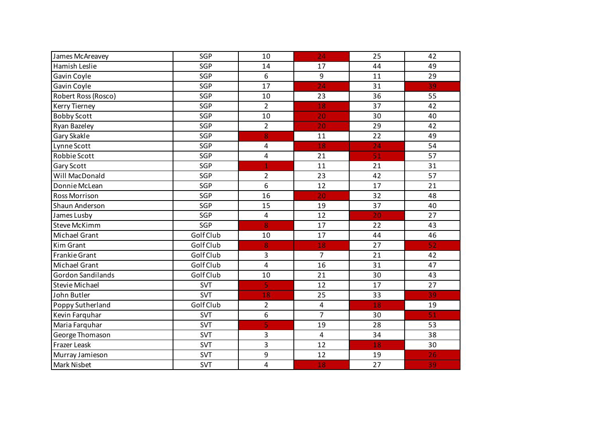| James McAreavey       | SGP        | 10                      | 24                      | 25 | 42 |
|-----------------------|------------|-------------------------|-------------------------|----|----|
| Hamish Leslie         | SGP        | 14                      | 17                      | 44 | 49 |
| Gavin Coyle           | SGP        | 6                       | 9                       | 11 | 29 |
| Gavin Coyle           | SGP        | 17                      | $\overline{24}$         | 31 | 39 |
| Robert Ross (Rosco)   | SGP        | 10                      | 23                      | 36 | 55 |
| Kerry Tierney         | SGP        | $\overline{2}$          | 18                      | 37 | 42 |
| <b>Bobby Scott</b>    | SGP        | 10                      | 20                      | 30 | 40 |
| Ryan Bazeley          | SGP        | $\overline{2}$          | 20                      | 29 | 42 |
| Gary Skakle           | SGP        | 8                       | 11                      | 22 | 49 |
| Lynne Scott           | SGP        | 4                       | 18                      | 24 | 54 |
| Robbie Scott          | SGP        | $\overline{\mathbf{4}}$ | 21                      | 51 | 57 |
| Gary Scott            | SGP        | $\mathbf{1}$            | 11                      | 21 | 31 |
| Will MacDonald        | SGP        | $\overline{2}$          | 23                      | 42 | 57 |
| Donnie McLean         | SGP        | 6                       | 12                      | 17 | 21 |
| <b>Ross Morrison</b>  | SGP        | 16                      | 20                      | 32 | 48 |
| Shaun Anderson        | SGP        | 15                      | 19                      | 37 | 40 |
| James Lusby           | SGP        | $\overline{\mathbf{4}}$ | 12                      | 20 | 27 |
| <b>Steve McKimm</b>   | SGP        | 8                       | 17                      | 22 | 43 |
| Michael Grant         | Golf Club  | 10                      | 17                      | 44 | 46 |
| <b>Kim Grant</b>      | Golf Club  | 8                       | 18                      | 27 | 52 |
| <b>Frankie Grant</b>  | Golf Club  | 3                       | $\overline{7}$          | 21 | 42 |
| Michael Grant         | Golf Club  | $\pmb{4}$               | 16                      | 31 | 47 |
| Gordon Sandilands     | Golf Club  | 10                      | 21                      | 30 | 43 |
| <b>Stevie Michael</b> | <b>SVT</b> | 5                       | 12                      | 17 | 27 |
| John Butler           | <b>SVT</b> | 18                      | 25                      | 33 | 39 |
| Poppy Sutherland      | Golf Club  | $\overline{2}$          | $\overline{\mathbf{4}}$ | 18 | 19 |
| Kevin Farquhar        | <b>SVT</b> | 6                       | $\overline{7}$          | 30 | 51 |
| Maria Farquhar        | <b>SVT</b> | 5                       | 19                      | 28 | 53 |
| George Thomason       | <b>SVT</b> | 3                       | $\overline{\mathbf{4}}$ | 34 | 38 |
| Frazer Leask          | <b>SVT</b> | 3                       | 12                      | 18 | 30 |
| Murray Jamieson       | <b>SVT</b> | 9                       | 12                      | 19 | 26 |
| <b>Mark Nisbet</b>    | <b>SVT</b> | $\overline{\mathbf{4}}$ | 18                      | 27 | 39 |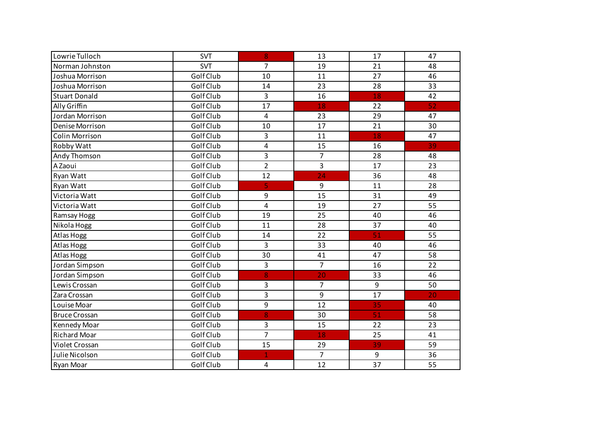| Lowrie Tulloch       | <b>SVT</b> | 8                       | 13              | 17              | 47 |
|----------------------|------------|-------------------------|-----------------|-----------------|----|
| Norman Johnston      | <b>SVT</b> | $\overline{7}$          | 19              | 21              | 48 |
| Joshua Morrison      | Golf Club  | 10                      | 11              | 27              | 46 |
| Joshua Morrison      | Golf Club  | 14                      | 23              | 28              | 33 |
| <b>Stuart Donald</b> | Golf Club  | 3                       | 16              | 18              | 42 |
| Ally Griffin         | Golf Club  | 17                      | 18              | 22              | 52 |
| Jordan Morrison      | Golf Club  | $\overline{\mathbf{4}}$ | 23              | 29              | 47 |
| Denise Morrison      | Golf Club  | 10                      | 17              | 21              | 30 |
| Colin Morrison       | Golf Club  | 3                       | 11              | 18              | 47 |
| Robby Watt           | Golf Club  | 4                       | 15              | 16              | 39 |
| Andy Thomson         | Golf Club  | 3                       | $\overline{7}$  | 28              | 48 |
| A Zaoui              | Golf Club  | $\overline{2}$          | 3               | 17              | 23 |
| Ryan Watt            | Golf Club  | 12                      | $\overline{24}$ | 36              | 48 |
| Ryan Watt            | Golf Club  | 5                       | 9               | 11              | 28 |
| Victoria Watt        | Golf Club  | 9                       | 15              | 31              | 49 |
| Victoria Watt        | Golf Club  | $\overline{\mathbf{4}}$ | 19              | 27              | 55 |
| Ramsay Hogg          | Golf Club  | 19                      | 25              | 40              | 46 |
| Nikola Hogg          | Golf Club  | 11                      | 28              | 37              | 40 |
| Atlas Hogg           | Golf Club  | 14                      | 22              | 51              | 55 |
| Atlas Hogg           | Golf Club  | 3                       | 33              | 40              | 46 |
| Atlas Hogg           | Golf Club  | 30                      | 41              | 47              | 58 |
| Jordan Simpson       | Golf Club  | 3                       | $\overline{7}$  | 16              | 22 |
| Jordan Simpson       | Golf Club  | 8                       | 20              | 33              | 46 |
| Lewis Crossan        | Golf Club  | 3                       | $\overline{7}$  | 9               | 50 |
| Zara Crossan         | Golf Club  | 3                       | 9               | 17              | 20 |
| Louise Moar          | Golf Club  | 9                       | 12              | 35              | 40 |
| <b>Bruce Crossan</b> | Golf Club  | 8                       | 30              | 51              | 58 |
| Kennedy Moar         | Golf Club  | 3                       | 15              | 22              | 23 |
| <b>Richard Moar</b>  | Golf Club  | $\overline{7}$          | 18              | 25              | 41 |
| Violet Crossan       | Golf Club  | 15                      | 29              | 39              | 59 |
| Julie Nicolson       | Golf Club  | $\overline{1}$          | $\overline{7}$  | 9               | 36 |
| <b>Ryan Moar</b>     | Golf Club  | 4                       | 12              | $\overline{37}$ | 55 |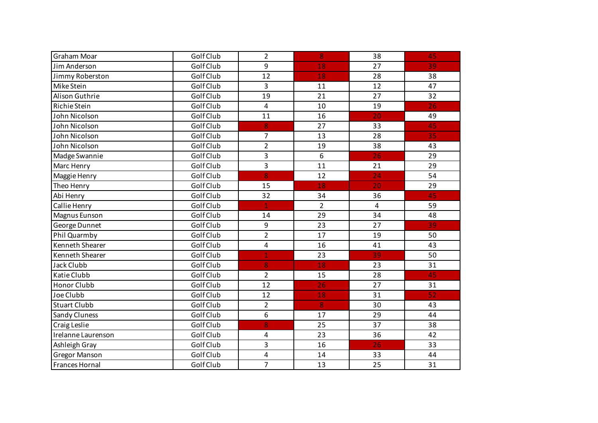| Graham Moar           | Golf Club | $\overline{2}$ | 8              | 38              | 45 |
|-----------------------|-----------|----------------|----------------|-----------------|----|
| Jim Anderson          | Golf Club | 9              | 18             | 27              | 39 |
| Jimmy Roberston       | Golf Club | 12             | 18             | 28              | 38 |
| Mike Stein            | Golf Club | 3              | 11             | 12              | 47 |
| Alison Guthrie        | Golf Club | 19             | 21             | 27              | 32 |
| Richie Stein          | Golf Club | 4              | 10             | 19              | 26 |
| John Nicolson         | Golf Club | 11             | 16             | 20              | 49 |
| John Nicolson         | Golf Club | 8              | 27             | 33              | 45 |
| John Nicolson         | Golf Club | $\overline{7}$ | 13             | 28              | 35 |
| John Nicolson         | Golf Club | $\overline{2}$ | 19             | 38              | 43 |
| Madge Swannie         | Golf Club | 3              | 6              | 26              | 29 |
| Marc Henry            | Golf Club | 3              | 11             | 21              | 29 |
| Maggie Henry          | Golf Club | 8              | 12             | 24              | 54 |
| Theo Henry            | Golf Club | 15             | 18             | 20              | 29 |
| Abi Henry             | Golf Club | 32             | 34             | 36              | 45 |
| Callie Henry          | Golf Club | $\overline{1}$ | $\overline{2}$ | 4               | 59 |
| Magnus Eunson         | Golf Club | 14             | 29             | 34              | 48 |
| George Dunnet         | Golf Club | 9              | 23             | 27              | 39 |
| Phil Quarmby          | Golf Club | $\overline{2}$ | 17             | 19              | 50 |
| Kenneth Shearer       | Golf Club | 4              | 16             | 41              | 43 |
| Kenneth Shearer       | Golf Club | $\overline{1}$ | 23             | 39              | 50 |
| Jack Clubb            | Golf Club | 8              | 18             | 23              | 31 |
| Katie Clubb           | Golf Club | $\overline{2}$ | 15             | 28              | 45 |
| <b>Honor Clubb</b>    | Golf Club | 12             | 26             | 27              | 31 |
| Joe Clubb             | Golf Club | 12             | 18             | 31              | 52 |
| <b>Stuart Clubb</b>   | Golf Club | $\overline{2}$ | 8              | 30              | 43 |
| Sandy Cluness         | Golf Club | 6              | 17             | 29              | 44 |
| Craig Leslie          | Golf Club | 8              | 25             | 37              | 38 |
| Irelanne Laurenson    | Golf Club | 4              | 23             | 36              | 42 |
| Ashleigh Gray         | Golf Club | 3              | 16             | 26              | 33 |
| <b>Gregor Manson</b>  | Golf Club | 4              | 14             | 33              | 44 |
| <b>Frances Hornal</b> | Golf Club | $\overline{7}$ | 13             | $\overline{25}$ | 31 |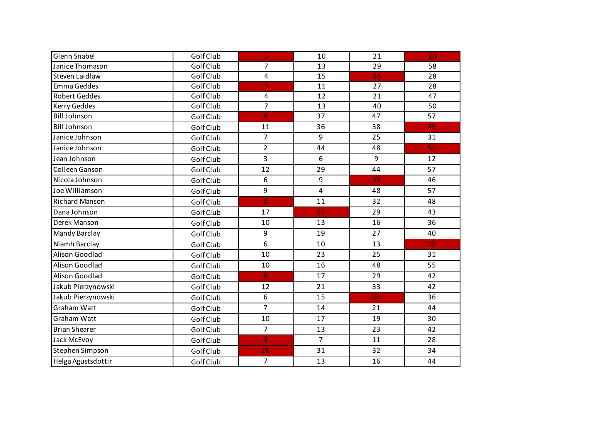| <b>Glenn Snabel</b>   | Golf Club | 5                       | 10             | 21 | 24 |
|-----------------------|-----------|-------------------------|----------------|----|----|
| Janice Thomason       | Golf Club | $\overline{7}$          | 13             | 29 | 58 |
| Steven Laidlaw        | Golf Club | $\overline{\mathbf{4}}$ | 15             | 26 | 28 |
| Emma Geddes           | Golf Club | 5                       | 11             | 27 | 28 |
| <b>Robert Geddes</b>  | Golf Club | 4                       | 12             | 21 | 47 |
| Kerry Geddes          | Golf Club | $\overline{7}$          | 13             | 40 | 50 |
| <b>Bill Johnson</b>   | Golf Club | 8                       | 37             | 47 | 57 |
| <b>Bill Johnson</b>   | Golf Club | 11                      | 36             | 38 | 45 |
| Janice Johnson        | Golf Club | $\overline{7}$          | 9              | 25 | 31 |
| Janice Johnson        | Golf Club | $\overline{2}$          | 44             | 48 | 51 |
| Jean Johnson          | Golf Club | 3                       | 6              | 9  | 12 |
| Colleen Ganson        | Golf Club | 12                      | 29             | 44 | 57 |
| Nicola Johnson        | Golf Club | 6                       | 9              | 39 | 46 |
| Joe Williamson        | Golf Club | 9                       | $\overline{4}$ | 48 | 57 |
| <b>Richard Manson</b> | Golf Club | 8                       | 11             | 32 | 48 |
| Dana Johnson          | Golf Club | 17                      | 26             | 29 | 43 |
| Derek Manson          | Golf Club | 10                      | 13             | 16 | 36 |
| Mandy Barclay         | Golf Club | 9                       | 19             | 27 | 40 |
| Niamh Barclay         | Golf Club | 6                       | 10             | 13 | 20 |
| Alison Goodlad        | Golf Club | 10                      | 23             | 25 | 31 |
| Alison Goodlad        | Golf Club | 10                      | 16             | 48 | 55 |
| Alison Goodlad        | Golf Club | 8                       | 17             | 29 | 42 |
| Jakub Pierzynowski    | Golf Club | 12                      | 21             | 33 | 42 |
| Jakub Pierzynowski    | Golf Club | 6                       | 15             | 24 | 36 |
| Graham Watt           | Golf Club | $\overline{7}$          | 14             | 21 | 44 |
| Graham Watt           | Golf Club | 10                      | 17             | 19 | 30 |
| <b>Brian Shearer</b>  | Golf Club | $\overline{7}$          | 13             | 23 | 42 |
| Jack McEvoy           | Golf Club | 5                       | $\overline{7}$ | 11 | 28 |
| Stephen Simpson       | Golf Club | 26                      | 31             | 32 | 34 |
| Helga Agustsdottir    | Golf Club | $\overline{7}$          | 13             | 16 | 44 |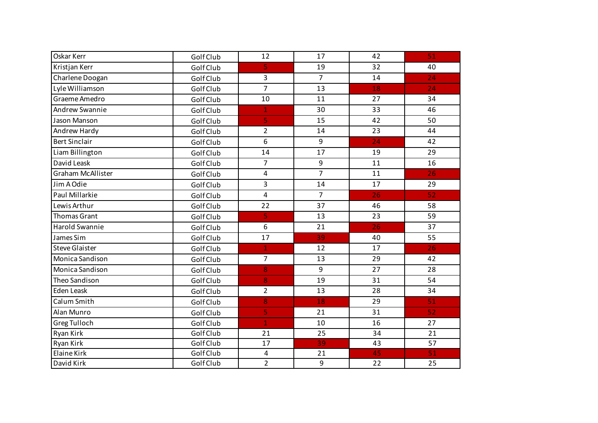| Oskar Kerr               | Golf Club | 12                      | 17             | 42 | 51 |
|--------------------------|-----------|-------------------------|----------------|----|----|
| Kristjan Kerr            | Golf Club | 5                       | 19             | 32 | 40 |
| Charlene Doogan          | Golf Club | 3                       | $\overline{7}$ | 14 | 24 |
| Lyle Williamson          | Golf Club | $\overline{7}$          | 13             | 18 | 24 |
| Graeme Amedro            | Golf Club | 10                      | 11             | 27 | 34 |
| Andrew Swannie           | Golf Club | $\mathbf{1}$            | 30             | 33 | 46 |
| Jason Manson             | Golf Club | 5                       | 15             | 42 | 50 |
| Andrew Hardy             | Golf Club | $\overline{2}$          | 14             | 23 | 44 |
| <b>Bert Sinclair</b>     | Golf Club | 6                       | 9              | 24 | 42 |
| Liam Billington          | Golf Club | 14                      | 17             | 19 | 29 |
| David Leask              | Golf Club | $\overline{7}$          | 9              | 11 | 16 |
| <b>Graham McAllister</b> | Golf Club | 4                       | $\overline{7}$ | 11 | 26 |
| Jim A Odie               | Golf Club | 3                       | 14             | 17 | 29 |
| Paul Millarkie           | Golf Club | $\overline{\mathbf{4}}$ | $\overline{7}$ | 26 | 52 |
| Lewis Arthur             | Golf Club | 22                      | 37             | 46 | 58 |
| <b>Thomas Grant</b>      | Golf Club | 5                       | 13             | 23 | 59 |
| Harold Swannie           | Golf Club | 6                       | 21             | 26 | 37 |
| James Sim                | Golf Club | 17                      | 39             | 40 | 55 |
| <b>Steve Glaister</b>    | Golf Club | $\mathbf{1}$            | 12             | 17 | 26 |
| Monica Sandison          | Golf Club | $\overline{7}$          | 13             | 29 | 42 |
| Monica Sandison          | Golf Club | 8                       | 9              | 27 | 28 |
| Theo Sandison            | Golf Club | 8                       | 19             | 31 | 54 |
| <b>Eden Leask</b>        | Golf Club | $\overline{2}$          | 13             | 28 | 34 |
| Calum Smith              | Golf Club | 8                       | 18             | 29 | 51 |
| Alan Munro               | Golf Club | 5                       | 21             | 31 | 52 |
| Greg Tulloch             | Golf Club | $\mathbf{1}$            | 10             | 16 | 27 |
| Ryan Kirk                | Golf Club | 21                      | 25             | 34 | 21 |
| Ryan Kirk                | Golf Club | 17                      | 39             | 43 | 57 |
| Elaine Kirk              | Golf Club | 4                       | 21             | 45 | 51 |
| David Kirk               | Golf Club | $\overline{2}$          | 9              | 22 | 25 |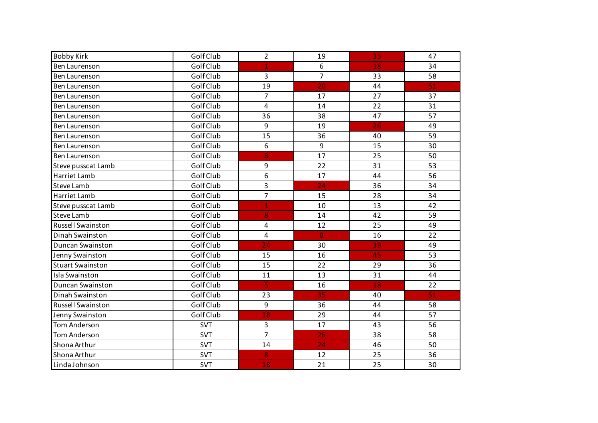| <b>Bobby Kirk</b>        | Golf Club  | $\overline{2}$          | 19             | 35 | 47 |
|--------------------------|------------|-------------------------|----------------|----|----|
| Ben Laurenson            | Golf Club  | 1                       | 6              | 18 | 34 |
| Ben Laurenson            | Golf Club  | 3                       | $\overline{7}$ | 33 | 58 |
| Ben Laurenson            | Golf Club  | 19                      | 20             | 44 | 51 |
| Ben Laurenson            | Golf Club  | $\overline{7}$          | 17             | 27 | 37 |
| Ben Laurenson            | Golf Club  | $\overline{\mathbf{4}}$ | 14             | 22 | 31 |
| Ben Laurenson            | Golf Club  | 36                      | 38             | 47 | 57 |
| Ben Laurenson            | Golf Club  | 9                       | 19             | 26 | 49 |
| Ben Laurenson            | Golf Club  | 15                      | 36             | 40 | 59 |
| Ben Laurenson            | Golf Club  | 6                       | 9              | 15 | 30 |
| Ben Laurenson            | Golf Club  | 8                       | 17             | 25 | 50 |
| Steve pusscat Lamb       | Golf Club  | 9                       | 22             | 31 | 53 |
| Harriet Lamb             | Golf Club  | 6                       | 17             | 44 | 56 |
| <b>Steve Lamb</b>        | Golf Club  | 3                       | 24             | 36 | 34 |
| Harriet Lamb             | Golf Club  | $\overline{7}$          | 15             | 28 | 34 |
| Steve pusscat Lamb       | Golf Club  | $\overline{1}$          | 10             | 13 | 42 |
| Steve Lamb               | Golf Club  | 8                       | 14             | 42 | 59 |
| <b>Russell Swainston</b> | Golf Club  | 4                       | 12             | 25 | 49 |
| Dinah Swainston          | Golf Club  | $\pmb{4}$               | 8              | 16 | 22 |
| Duncan Swainston         | Golf Club  | 24                      | 30             | 39 | 49 |
| Jenny Swainston          | Golf Club  | 15                      | 16             | 45 | 53 |
| <b>Stuart Swainston</b>  | Golf Club  | 15                      | 22             | 29 | 36 |
| <b>Isla Swainston</b>    | Golf Club  | 11                      | 13             | 31 | 44 |
| <b>Duncan Swainston</b>  | Golf Club  | $\overline{5}$          | 16             | 18 | 22 |
| Dinah Swainston          | Golf Club  | 23                      | 35             | 40 | 51 |
| <b>Russell Swainston</b> | Golf Club  | $\overline{9}$          | 36             | 44 | 58 |
| Jenny Swainston          | Golf Club  | 18                      | 29             | 44 | 57 |
| <b>Tom Anderson</b>      | <b>SVT</b> | 3                       | 17             | 43 | 56 |
| Tom Anderson             | <b>SVT</b> | $\overline{7}$          | 26             | 38 | 58 |
| Shona Arthur             | <b>SVT</b> | 14                      | 24             | 46 | 50 |
| Shona Arthur             | <b>SVT</b> | 8                       | 12             | 25 | 36 |
| Linda Johnson            | <b>SVT</b> | 18                      | 21             | 25 | 30 |